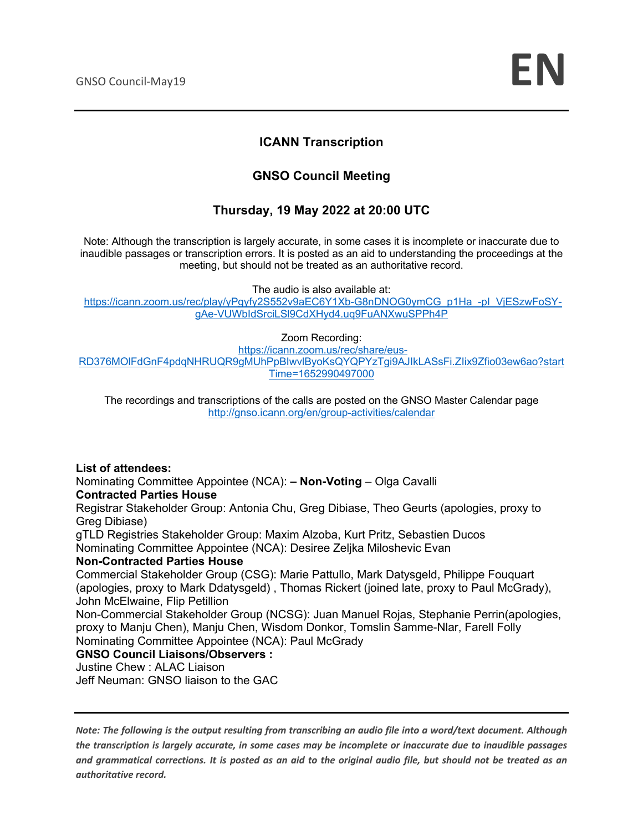### **ICANN Transcription**

### **GNSO Council Meeting**

### **Thursday, 19 May 2022 at 20:00 UTC**

Note: Although the transcription is largely accurate, in some cases it is incomplete or inaccurate due to inaudible passages or transcription errors. It is posted as an aid to understanding the proceedings at the meeting, but should not be treated as an authoritative record.

The audio is also available at:

https://icann.zoom.us/rec/play/vPgyfy2S552v9aEC6Y1Xb-G8nDNOG0ymCG\_p1Ha\_-pl\_ViESzwFoSYgAe-VUWbIdSrciLSl9CdXHyd4.uq9FuANXwuSPPh4P

#### Zoom Recording:

https://icann.zoom.us/rec/share/eus-RD376MOlFdGnF4pdqNHRUQR9gMUhPpBIwvlByoKsQYQPYzTgi9AJIkLASsFi.ZIix9Zfio03ew6ao?start Time=1652990497000

The recordings and transcriptions of the calls are posted on the GNSO Master Calendar page http://gnso.icann.org/en/group-activities/calendar

**List of attendees:** Nominating Committee Appointee (NCA): **– Non-Voting** – Olga Cavalli **Contracted Parties House**

Registrar Stakeholder Group: Antonia Chu, Greg Dibiase, Theo Geurts (apologies, proxy to Greg Dibiase)

gTLD Registries Stakeholder Group: Maxim Alzoba, Kurt Pritz, Sebastien Ducos Nominating Committee Appointee (NCA): Desiree Zeljka Miloshevic Evan

#### **Non-Contracted Parties House**

Commercial Stakeholder Group (CSG): Marie Pattullo, Mark Datysgeld, Philippe Fouquart (apologies, proxy to Mark Ddatysgeld) , Thomas Rickert (joined late, proxy to Paul McGrady), John McElwaine, Flip Petillion

Non-Commercial Stakeholder Group (NCSG): Juan Manuel Rojas, Stephanie Perrin(apologies, proxy to Manju Chen), Manju Chen, Wisdom Donkor, Tomslin Samme-Nlar, Farell Folly Nominating Committee Appointee (NCA): Paul McGrady

#### **GNSO Council Liaisons/Observers :**

Justine Chew : ALAC Liaison

Jeff Neuman: GNSO liaison to the GAC

*Note: The following is the output resulting from transcribing an audio file into a word/text document. Although the transcription is largely accurate, in some cases may be incomplete or inaccurate due to inaudible passages and grammatical corrections. It is posted as an aid to the original audio file, but should not be treated as an authoritative record.*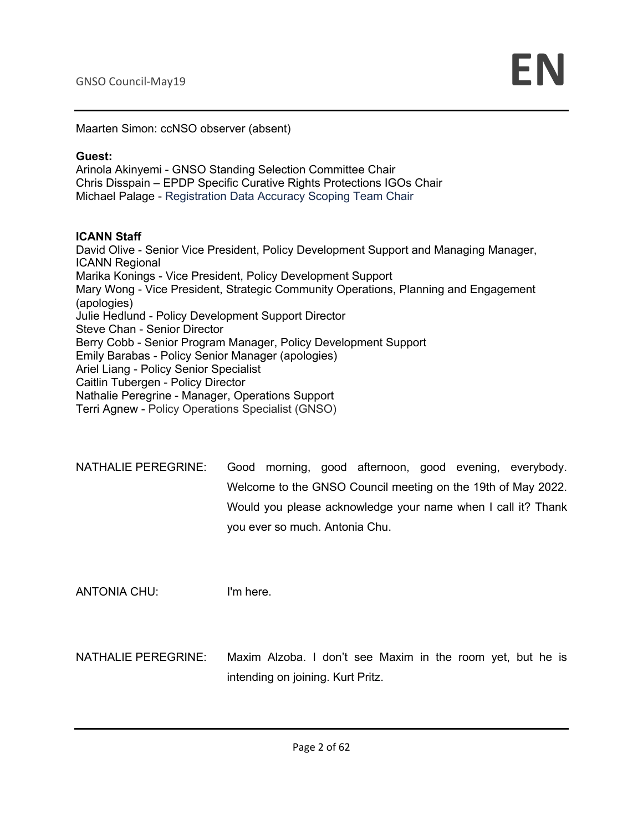Maarten Simon: ccNSO observer (absent)

#### **Guest:**

Arinola Akinyemi - GNSO Standing Selection Committee Chair Chris Disspain – EPDP Specific Curative Rights Protections IGOs Chair Michael Palage - Registration Data Accuracy Scoping Team Chair

#### **ICANN Staff**

David Olive - Senior Vice President, Policy Development Support and Managing Manager, ICANN Regional Marika Konings - Vice President, Policy Development Support Mary Wong - Vice President, Strategic Community Operations, Planning and Engagement (apologies) Julie Hedlund - Policy Development Support Director Steve Chan - Senior Director Berry Cobb - Senior Program Manager, Policy Development Support Emily Barabas - Policy Senior Manager (apologies) Ariel Liang - Policy Senior Specialist Caitlin Tubergen - Policy Director Nathalie Peregrine - Manager, Operations Support Terri Agnew - Policy Operations Specialist (GNSO)

| NATHALIE PEREGRINE: |                                |  |  | Good morning, good afternoon, good evening, everybody.       |
|---------------------|--------------------------------|--|--|--------------------------------------------------------------|
|                     |                                |  |  | Welcome to the GNSO Council meeting on the 19th of May 2022. |
|                     |                                |  |  | Would you please acknowledge your name when I call it? Thank |
|                     | you ever so much. Antonia Chu. |  |  |                                                              |

ANTONIA CHU: I'm here.

NATHALIE PEREGRINE: Maxim Alzoba. I don't see Maxim in the room yet, but he is intending on joining. Kurt Pritz.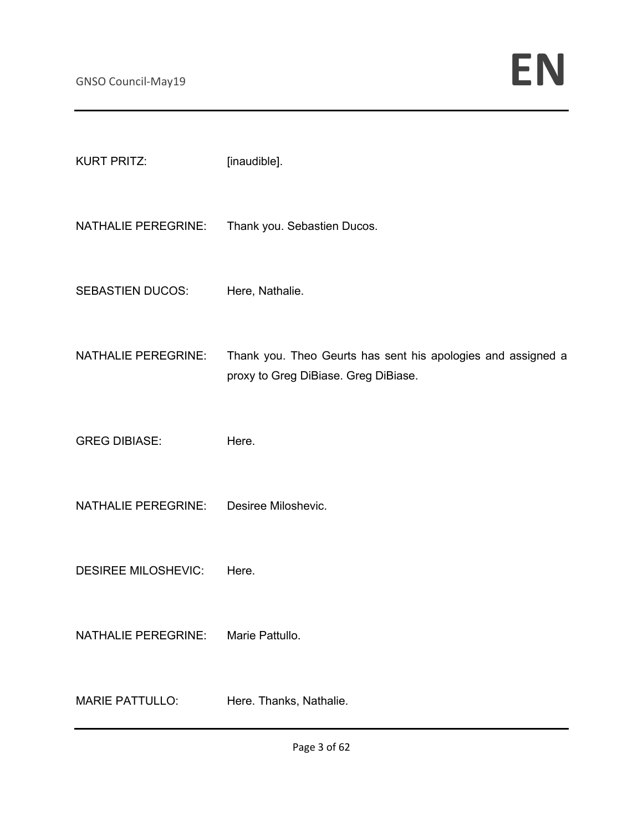| <b>KURT PRITZ:</b>         | [inaudible].                                                                                         |
|----------------------------|------------------------------------------------------------------------------------------------------|
| <b>NATHALIE PEREGRINE:</b> | Thank you. Sebastien Ducos.                                                                          |
| <b>SEBASTIEN DUCOS:</b>    | Here, Nathalie.                                                                                      |
| <b>NATHALIE PEREGRINE:</b> | Thank you. Theo Geurts has sent his apologies and assigned a<br>proxy to Greg DiBiase. Greg DiBiase. |
| <b>GREG DIBIASE:</b>       | Here.                                                                                                |
| <b>NATHALIE PEREGRINE:</b> | Desiree Miloshevic.                                                                                  |
| <b>DESIREE MILOSHEVIC:</b> | Here.                                                                                                |
| <b>NATHALIE PEREGRINE:</b> | Marie Pattullo.                                                                                      |
| <b>MARIE PATTULLO:</b>     | Here. Thanks, Nathalie.                                                                              |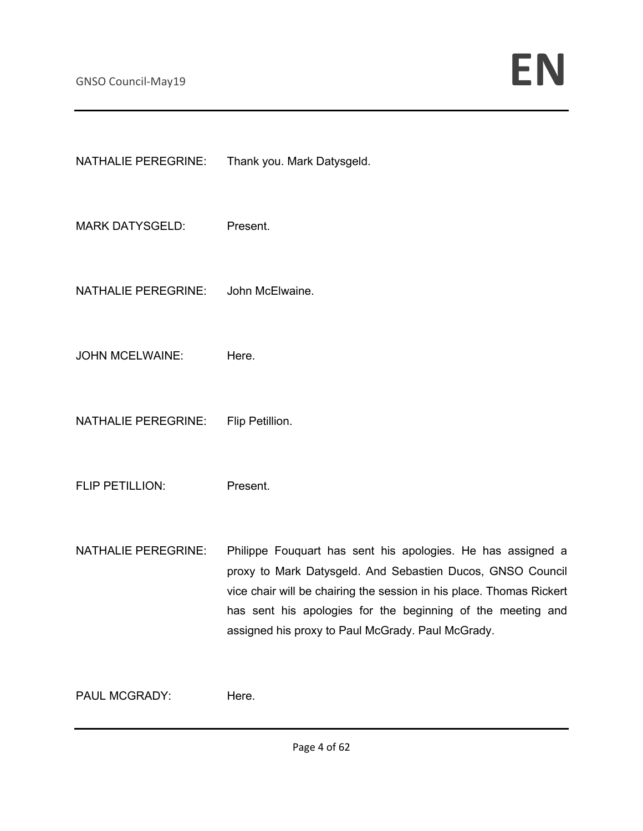| <b>NATHALIE PEREGRINE:</b> | Thank you. Mark Datysgeld.                                                                                                                                                                                                                                                                                            |
|----------------------------|-----------------------------------------------------------------------------------------------------------------------------------------------------------------------------------------------------------------------------------------------------------------------------------------------------------------------|
| <b>MARK DATYSGELD:</b>     | Present.                                                                                                                                                                                                                                                                                                              |
| <b>NATHALIE PEREGRINE:</b> | John McElwaine.                                                                                                                                                                                                                                                                                                       |
| <b>JOHN MCELWAINE:</b>     | Here.                                                                                                                                                                                                                                                                                                                 |
| <b>NATHALIE PEREGRINE:</b> | Flip Petillion.                                                                                                                                                                                                                                                                                                       |
| FLIP PETILLION:            | Present.                                                                                                                                                                                                                                                                                                              |
| <b>NATHALIE PEREGRINE:</b> | Philippe Fouquart has sent his apologies. He has assigned a<br>proxy to Mark Datysgeld. And Sebastien Ducos, GNSO Council<br>vice chair will be chairing the session in his place. Thomas Rickert<br>has sent his apologies for the beginning of the meeting and<br>assigned his proxy to Paul McGrady. Paul McGrady. |
| PAUL MCGRADY:              | Here.                                                                                                                                                                                                                                                                                                                 |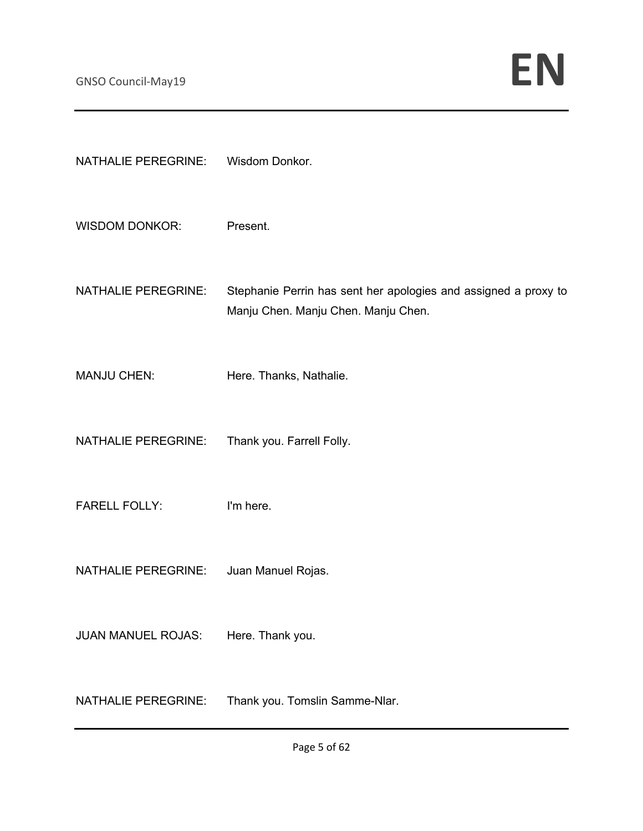| <b>NATHALIE PEREGRINE:</b> | Wisdom Donkor.                                                                                         |
|----------------------------|--------------------------------------------------------------------------------------------------------|
| <b>WISDOM DONKOR:</b>      | Present.                                                                                               |
| <b>NATHALIE PEREGRINE:</b> | Stephanie Perrin has sent her apologies and assigned a proxy to<br>Manju Chen. Manju Chen. Manju Chen. |
| <b>MANJU CHEN:</b>         | Here. Thanks, Nathalie.                                                                                |
| <b>NATHALIE PEREGRINE:</b> | Thank you. Farrell Folly.                                                                              |
| <b>FARELL FOLLY:</b>       | I'm here.                                                                                              |
| <b>NATHALIE PEREGRINE:</b> | Juan Manuel Rojas.                                                                                     |
| <b>JUAN MANUEL ROJAS:</b>  | Here. Thank you.                                                                                       |
| <b>NATHALIE PEREGRINE:</b> | Thank you. Tomslin Samme-Nlar.                                                                         |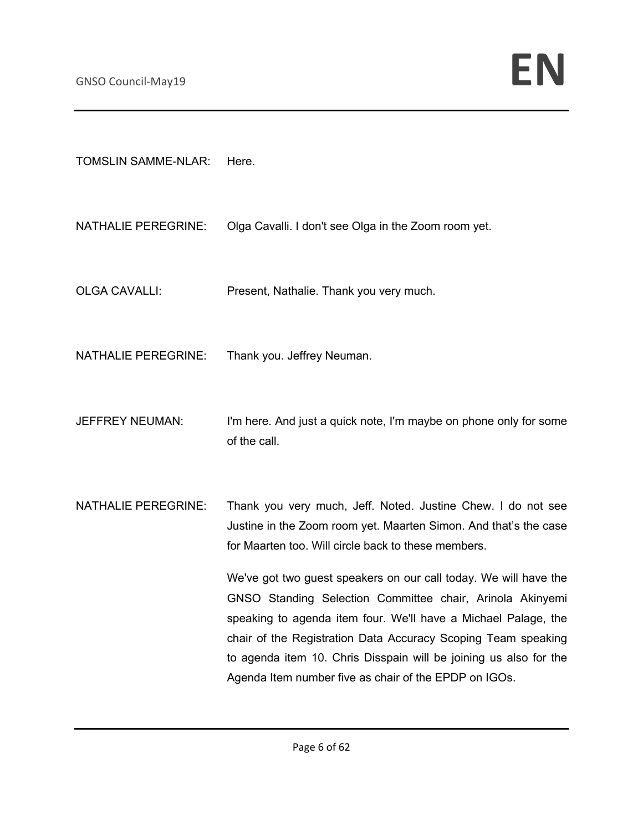TOMSLIN SAMME-NLAR: Here.

NATHALIE PEREGRINE: Olga Cavalli. I don't see Olga in the Zoom room yet.

OLGA CAVALLI: Present, Nathalie. Thank you very much.

NATHALIE PEREGRINE: Thank you. Jeffrey Neuman.

- JEFFREY NEUMAN: I'm here. And just a quick note, I'm maybe on phone only for some of the call.
- NATHALIE PEREGRINE: Thank you very much, Jeff. Noted. Justine Chew. I do not see Justine in the Zoom room yet. Maarten Simon. And that's the case for Maarten too. Will circle back to these members.

We've got two guest speakers on our call today. We will have the GNSO Standing Selection Committee chair, Arinola Akinyemi speaking to agenda item four. We'll have a Michael Palage, the chair of the Registration Data Accuracy Scoping Team speaking to agenda item 10. Chris Disspain will be joining us also for the Agenda Item number five as chair of the EPDP on IGOs.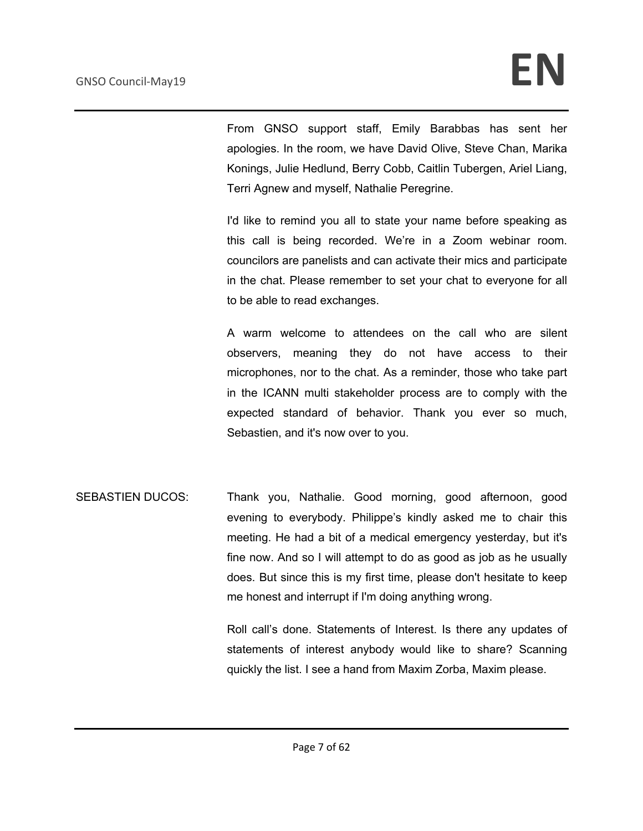From GNSO support staff, Emily Barabbas has sent her apologies. In the room, we have David Olive, Steve Chan, Marika Konings, Julie Hedlund, Berry Cobb, Caitlin Tubergen, Ariel Liang, Terri Agnew and myself, Nathalie Peregrine.

I'd like to remind you all to state your name before speaking as this call is being recorded. We're in a Zoom webinar room. councilors are panelists and can activate their mics and participate in the chat. Please remember to set your chat to everyone for all to be able to read exchanges.

A warm welcome to attendees on the call who are silent observers, meaning they do not have access to their microphones, nor to the chat. As a reminder, those who take part in the ICANN multi stakeholder process are to comply with the expected standard of behavior. Thank you ever so much, Sebastien, and it's now over to you.

SEBASTIEN DUCOS: Thank you, Nathalie. Good morning, good afternoon, good evening to everybody. Philippe's kindly asked me to chair this meeting. He had a bit of a medical emergency yesterday, but it's fine now. And so I will attempt to do as good as job as he usually does. But since this is my first time, please don't hesitate to keep me honest and interrupt if I'm doing anything wrong.

> Roll call's done. Statements of Interest. Is there any updates of statements of interest anybody would like to share? Scanning quickly the list. I see a hand from Maxim Zorba, Maxim please.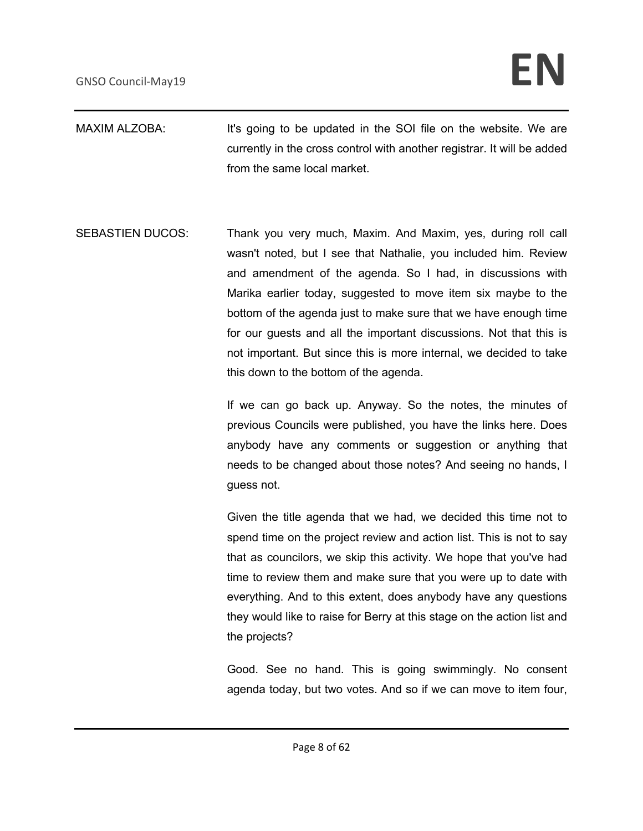- MAXIM ALZOBA: It's going to be updated in the SOI file on the website. We are currently in the cross control with another registrar. It will be added from the same local market.
- SEBASTIEN DUCOS: Thank you very much, Maxim. And Maxim, yes, during roll call wasn't noted, but I see that Nathalie, you included him. Review and amendment of the agenda. So I had, in discussions with Marika earlier today, suggested to move item six maybe to the bottom of the agenda just to make sure that we have enough time for our guests and all the important discussions. Not that this is not important. But since this is more internal, we decided to take this down to the bottom of the agenda.

If we can go back up. Anyway. So the notes, the minutes of previous Councils were published, you have the links here. Does anybody have any comments or suggestion or anything that needs to be changed about those notes? And seeing no hands, I guess not.

Given the title agenda that we had, we decided this time not to spend time on the project review and action list. This is not to say that as councilors, we skip this activity. We hope that you've had time to review them and make sure that you were up to date with everything. And to this extent, does anybody have any questions they would like to raise for Berry at this stage on the action list and the projects?

Good. See no hand. This is going swimmingly. No consent agenda today, but two votes. And so if we can move to item four,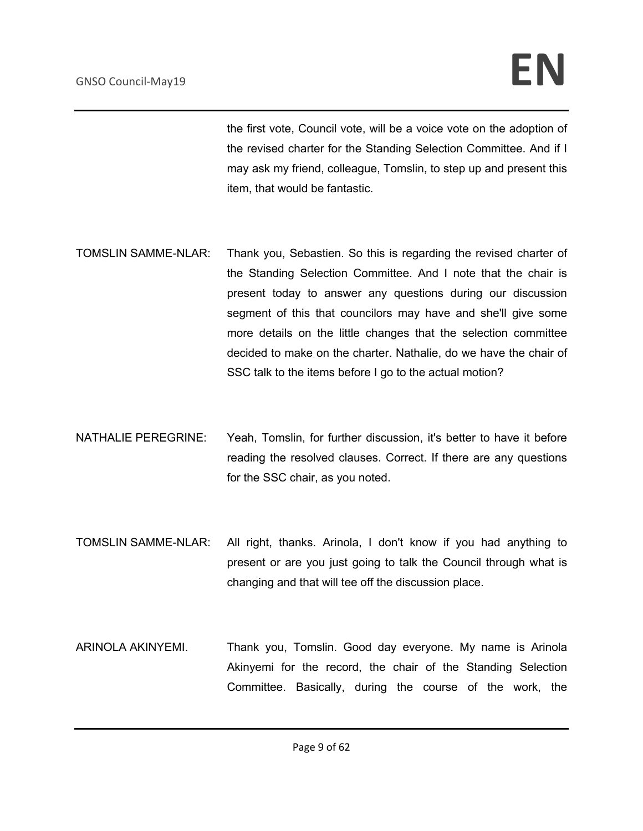the first vote, Council vote, will be a voice vote on the adoption of the revised charter for the Standing Selection Committee. And if I may ask my friend, colleague, Tomslin, to step up and present this item, that would be fantastic.

- TOMSLIN SAMME-NLAR: Thank you, Sebastien. So this is regarding the revised charter of the Standing Selection Committee. And I note that the chair is present today to answer any questions during our discussion segment of this that councilors may have and she'll give some more details on the little changes that the selection committee decided to make on the charter. Nathalie, do we have the chair of SSC talk to the items before I go to the actual motion?
- NATHALIE PEREGRINE: Yeah, Tomslin, for further discussion, it's better to have it before reading the resolved clauses. Correct. If there are any questions for the SSC chair, as you noted.
- TOMSLIN SAMME-NLAR: All right, thanks. Arinola, I don't know if you had anything to present or are you just going to talk the Council through what is changing and that will tee off the discussion place.
- ARINOLA AKINYEMI. Thank you, Tomslin. Good day everyone. My name is Arinola Akinyemi for the record, the chair of the Standing Selection Committee. Basically, during the course of the work, the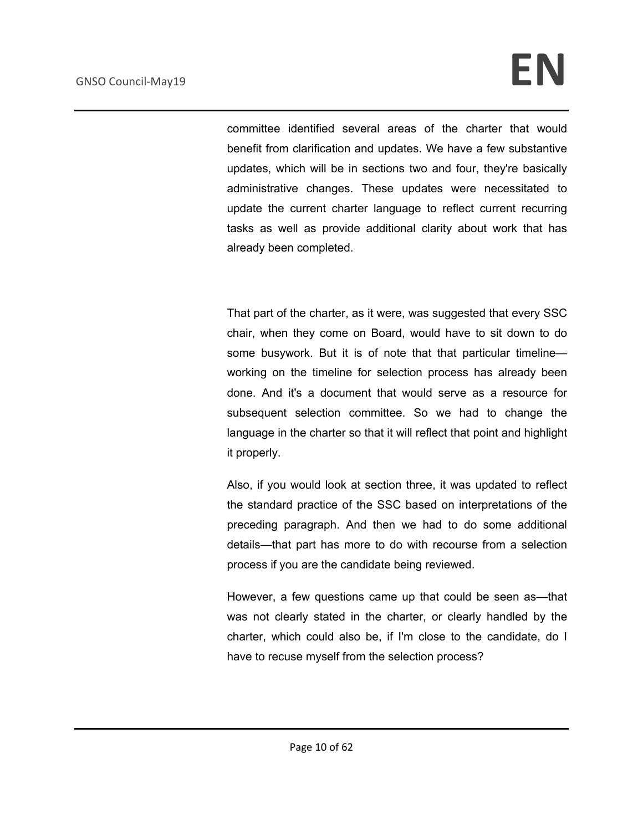## GNSO Council-May19 **EN**

committee identified several areas of the charter that would benefit from clarification and updates. We have a few substantive updates, which will be in sections two and four, they're basically administrative changes. These updates were necessitated to update the current charter language to reflect current recurring tasks as well as provide additional clarity about work that has already been completed.

That part of the charter, as it were, was suggested that every SSC chair, when they come on Board, would have to sit down to do some busywork. But it is of note that that particular timelineworking on the timeline for selection process has already been done. And it's a document that would serve as a resource for subsequent selection committee. So we had to change the language in the charter so that it will reflect that point and highlight it properly.

Also, if you would look at section three, it was updated to reflect the standard practice of the SSC based on interpretations of the preceding paragraph. And then we had to do some additional details—that part has more to do with recourse from a selection process if you are the candidate being reviewed.

However, a few questions came up that could be seen as—that was not clearly stated in the charter, or clearly handled by the charter, which could also be, if I'm close to the candidate, do I have to recuse myself from the selection process?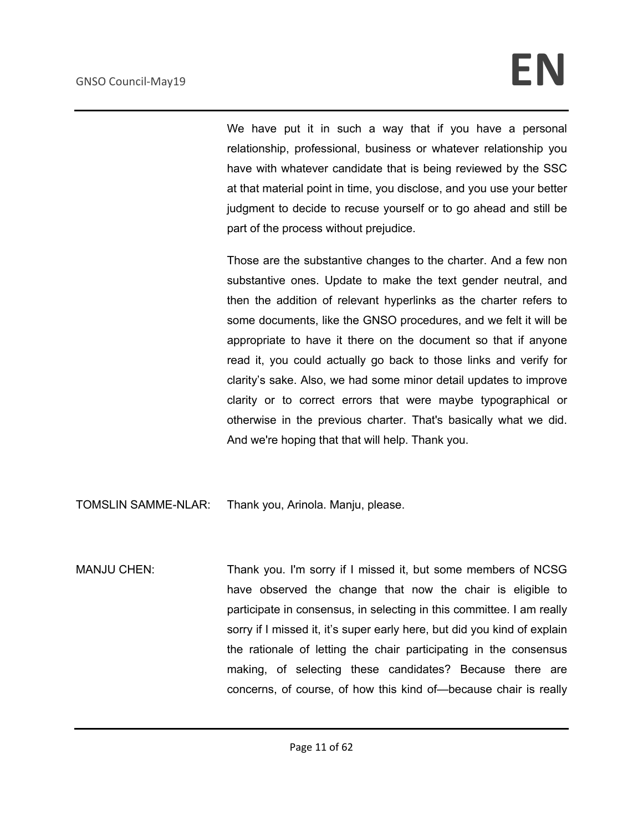We have put it in such a way that if you have a personal relationship, professional, business or whatever relationship you have with whatever candidate that is being reviewed by the SSC at that material point in time, you disclose, and you use your better judgment to decide to recuse yourself or to go ahead and still be part of the process without prejudice.

Those are the substantive changes to the charter. And a few non substantive ones. Update to make the text gender neutral, and then the addition of relevant hyperlinks as the charter refers to some documents, like the GNSO procedures, and we felt it will be appropriate to have it there on the document so that if anyone read it, you could actually go back to those links and verify for clarity's sake. Also, we had some minor detail updates to improve clarity or to correct errors that were maybe typographical or otherwise in the previous charter. That's basically what we did. And we're hoping that that will help. Thank you.

TOMSLIN SAMME-NLAR: Thank you, Arinola. Manju, please.

MANJU CHEN: Thank you. I'm sorry if I missed it, but some members of NCSG have observed the change that now the chair is eligible to participate in consensus, in selecting in this committee. I am really sorry if I missed it, it's super early here, but did you kind of explain the rationale of letting the chair participating in the consensus making, of selecting these candidates? Because there are concerns, of course, of how this kind of—because chair is really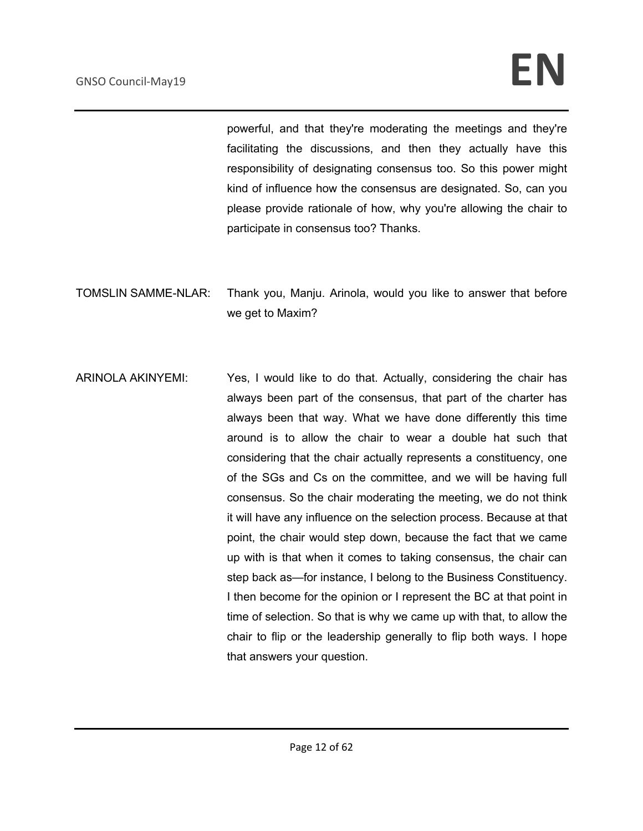powerful, and that they're moderating the meetings and they're facilitating the discussions, and then they actually have this responsibility of designating consensus too. So this power might kind of influence how the consensus are designated. So, can you please provide rationale of how, why you're allowing the chair to participate in consensus too? Thanks.

TOMSLIN SAMME-NLAR: Thank you, Manju. Arinola, would you like to answer that before we get to Maxim?

ARINOLA AKINYEMI: Yes, I would like to do that. Actually, considering the chair has always been part of the consensus, that part of the charter has always been that way. What we have done differently this time around is to allow the chair to wear a double hat such that considering that the chair actually represents a constituency, one of the SGs and Cs on the committee, and we will be having full consensus. So the chair moderating the meeting, we do not think it will have any influence on the selection process. Because at that point, the chair would step down, because the fact that we came up with is that when it comes to taking consensus, the chair can step back as—for instance, I belong to the Business Constituency. I then become for the opinion or I represent the BC at that point in time of selection. So that is why we came up with that, to allow the chair to flip or the leadership generally to flip both ways. I hope that answers your question.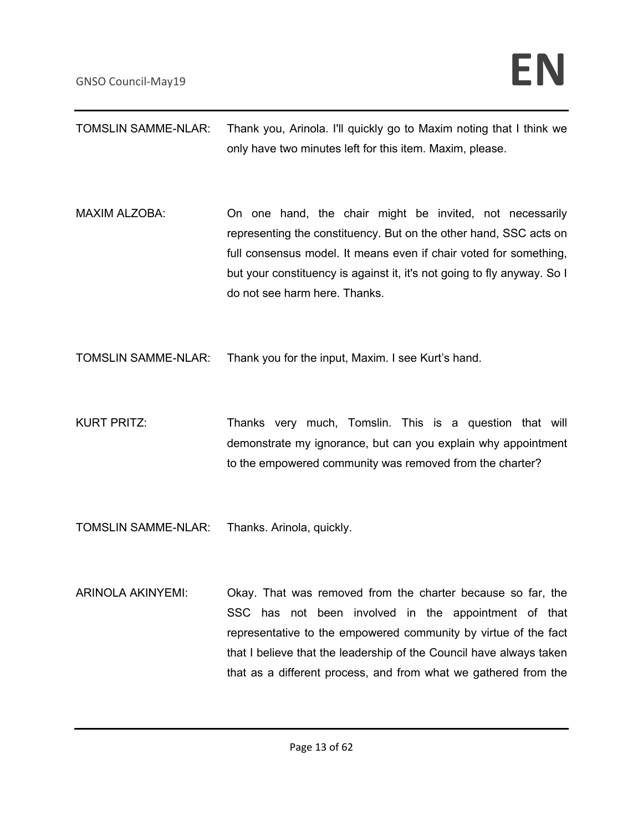| <b>TOMSLIN SAMME-NLAR:</b> | Thank you, Arinola. I'll quickly go to Maxim noting that I think we<br>only have two minutes left for this item. Maxim, please.                                                                                                                                                                                |
|----------------------------|----------------------------------------------------------------------------------------------------------------------------------------------------------------------------------------------------------------------------------------------------------------------------------------------------------------|
| <b>MAXIM ALZOBA:</b>       | On one hand, the chair might be invited, not necessarily<br>representing the constituency. But on the other hand, SSC acts on<br>full consensus model. It means even if chair voted for something,<br>but your constituency is against it, it's not going to fly anyway. So I<br>do not see harm here. Thanks. |

TOMSLIN SAMME-NLAR: Thank you for the input, Maxim. I see Kurt's hand.

KURT PRITZ: Thanks very much, Tomslin. This is a question that will demonstrate my ignorance, but can you explain why appointment to the empowered community was removed from the charter?

TOMSLIN SAMME-NLAR: Thanks. Arinola, quickly.

ARINOLA AKINYEMI: Okay. That was removed from the charter because so far, the SSC has not been involved in the appointment of that representative to the empowered community by virtue of the fact that I believe that the leadership of the Council have always taken that as a different process, and from what we gathered from the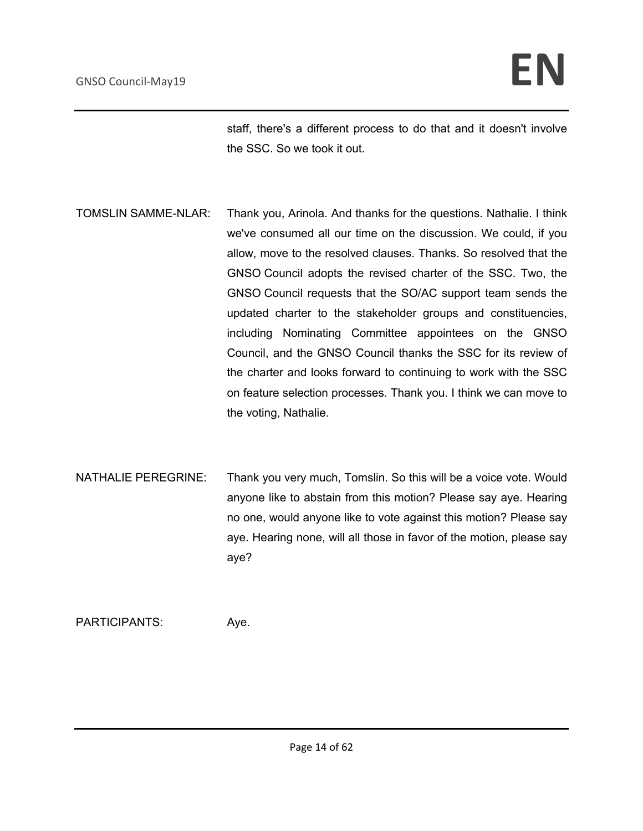staff, there's a different process to do that and it doesn't involve the SSC. So we took it out.

- TOMSLIN SAMME-NLAR: Thank you, Arinola. And thanks for the questions. Nathalie. I think we've consumed all our time on the discussion. We could, if you allow, move to the resolved clauses. Thanks. So resolved that the GNSO Council adopts the revised charter of the SSC. Two, the GNSO Council requests that the SO/AC support team sends the updated charter to the stakeholder groups and constituencies, including Nominating Committee appointees on the GNSO Council, and the GNSO Council thanks the SSC for its review of the charter and looks forward to continuing to work with the SSC on feature selection processes. Thank you. I think we can move to the voting, Nathalie.
- NATHALIE PEREGRINE: Thank you very much, Tomslin. So this will be a voice vote. Would anyone like to abstain from this motion? Please say aye. Hearing no one, would anyone like to vote against this motion? Please say aye. Hearing none, will all those in favor of the motion, please say aye?

PARTICIPANTS: Aye.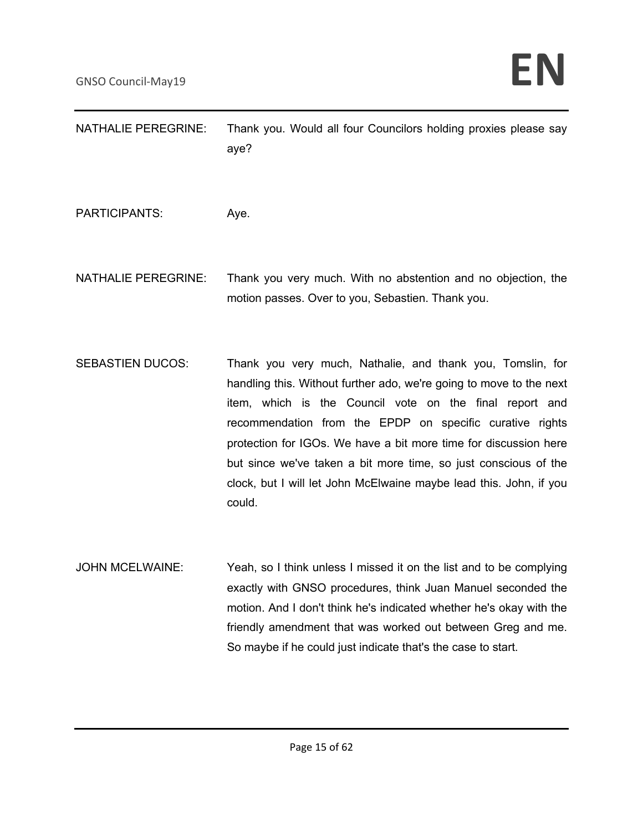| <b>NATHALIE PEREGRINE:</b> | Thank you. Would all four Councilors holding proxies please say<br>aye?                                                                                                                                                                                                                                                                                                                                                                                                         |
|----------------------------|---------------------------------------------------------------------------------------------------------------------------------------------------------------------------------------------------------------------------------------------------------------------------------------------------------------------------------------------------------------------------------------------------------------------------------------------------------------------------------|
| <b>PARTICIPANTS:</b>       | Aye.                                                                                                                                                                                                                                                                                                                                                                                                                                                                            |
| <b>NATHALIE PEREGRINE:</b> | Thank you very much. With no abstention and no objection, the<br>motion passes. Over to you, Sebastien. Thank you.                                                                                                                                                                                                                                                                                                                                                              |
| <b>SEBASTIEN DUCOS:</b>    | Thank you very much, Nathalie, and thank you, Tomslin, for<br>handling this. Without further ado, we're going to move to the next<br>item, which is the Council vote on the final report and<br>recommendation from the EPDP on specific curative rights<br>protection for IGOs. We have a bit more time for discussion here<br>but since we've taken a bit more time, so just conscious of the<br>clock, but I will let John McElwaine maybe lead this. John, if you<br>could. |
| <b>JOHN MCELWAINE:</b>     | Yeah, so I think unless I missed it on the list and to be complying<br>exactly with GNSO procedures, think Juan Manuel seconded the<br>motion. And I don't think he's indicated whether he's okay with the<br>friendly amendment that was worked out between Greg and me.<br>So maybe if he could just indicate that's the case to start.                                                                                                                                       |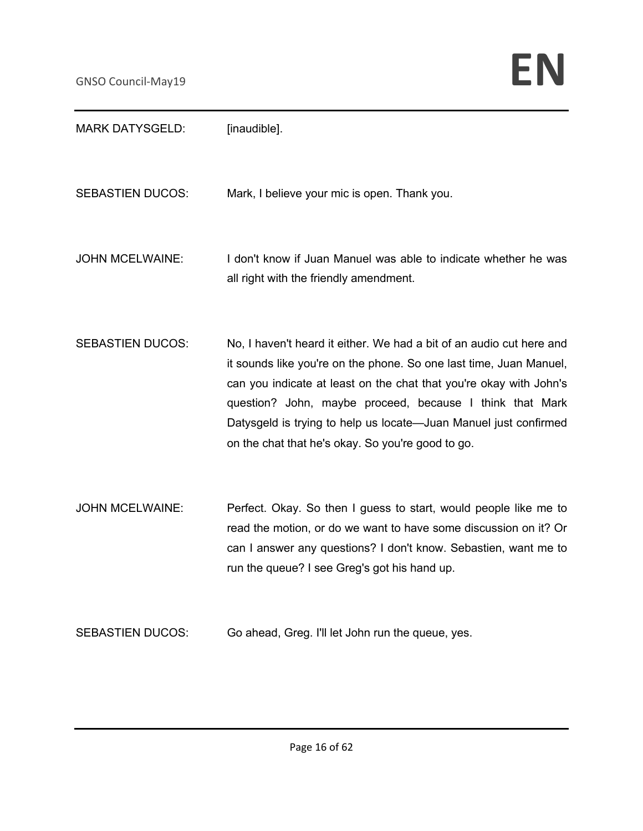| <b>MARK DATYSGELD:</b>  | [inaudible].                                                                                                                                                                                                                                                                                                                                                                                          |
|-------------------------|-------------------------------------------------------------------------------------------------------------------------------------------------------------------------------------------------------------------------------------------------------------------------------------------------------------------------------------------------------------------------------------------------------|
| <b>SEBASTIEN DUCOS:</b> | Mark, I believe your mic is open. Thank you.                                                                                                                                                                                                                                                                                                                                                          |
| <b>JOHN MCELWAINE:</b>  | I don't know if Juan Manuel was able to indicate whether he was<br>all right with the friendly amendment.                                                                                                                                                                                                                                                                                             |
| <b>SEBASTIEN DUCOS:</b> | No, I haven't heard it either. We had a bit of an audio cut here and<br>it sounds like you're on the phone. So one last time, Juan Manuel,<br>can you indicate at least on the chat that you're okay with John's<br>question? John, maybe proceed, because I think that Mark<br>Datysgeld is trying to help us locate-Juan Manuel just confirmed<br>on the chat that he's okay. So you're good to go. |
| <b>JOHN MCELWAINE:</b>  | Perfect. Okay. So then I guess to start, would people like me to<br>read the motion, or do we want to have some discussion on it? Or<br>can I answer any questions? I don't know. Sebastien, want me to<br>run the queue? I see Greg's got his hand up.                                                                                                                                               |
| <b>SEBASTIEN DUCOS:</b> | Go ahead, Greg. I'll let John run the queue, yes.                                                                                                                                                                                                                                                                                                                                                     |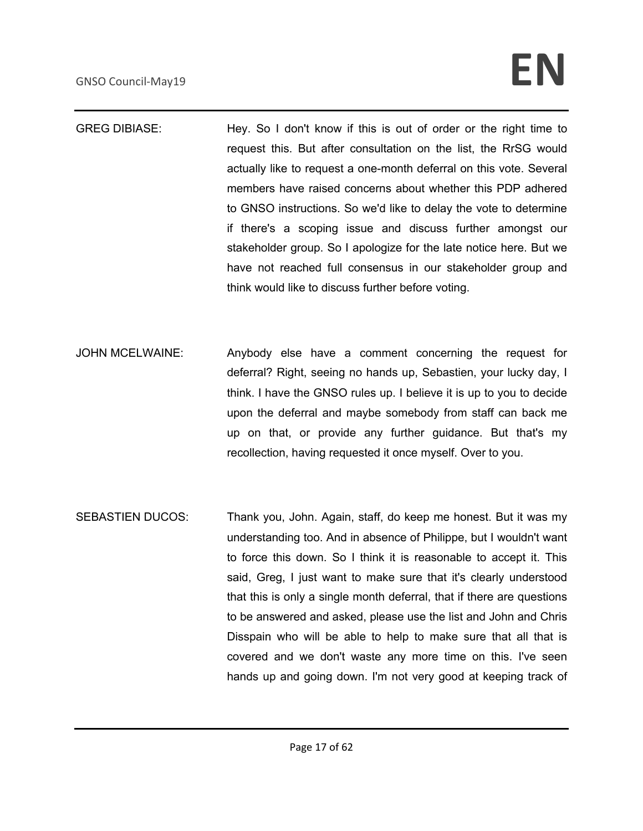# GNSO Council-May19 **EN**

- GREG DIBIASE: Hey. So I don't know if this is out of order or the right time to request this. But after consultation on the list, the RrSG would actually like to request a one-month deferral on this vote. Several members have raised concerns about whether this PDP adhered to GNSO instructions. So we'd like to delay the vote to determine if there's a scoping issue and discuss further amongst our stakeholder group. So I apologize for the late notice here. But we have not reached full consensus in our stakeholder group and think would like to discuss further before voting.
- JOHN MCELWAINE: Anybody else have a comment concerning the request for deferral? Right, seeing no hands up, Sebastien, your lucky day, I think. I have the GNSO rules up. I believe it is up to you to decide upon the deferral and maybe somebody from staff can back me up on that, or provide any further guidance. But that's my recollection, having requested it once myself. Over to you.
- SEBASTIEN DUCOS: Thank you, John. Again, staff, do keep me honest. But it was my understanding too. And in absence of Philippe, but I wouldn't want to force this down. So I think it is reasonable to accept it. This said, Greg, I just want to make sure that it's clearly understood that this is only a single month deferral, that if there are questions to be answered and asked, please use the list and John and Chris Disspain who will be able to help to make sure that all that is covered and we don't waste any more time on this. I've seen hands up and going down. I'm not very good at keeping track of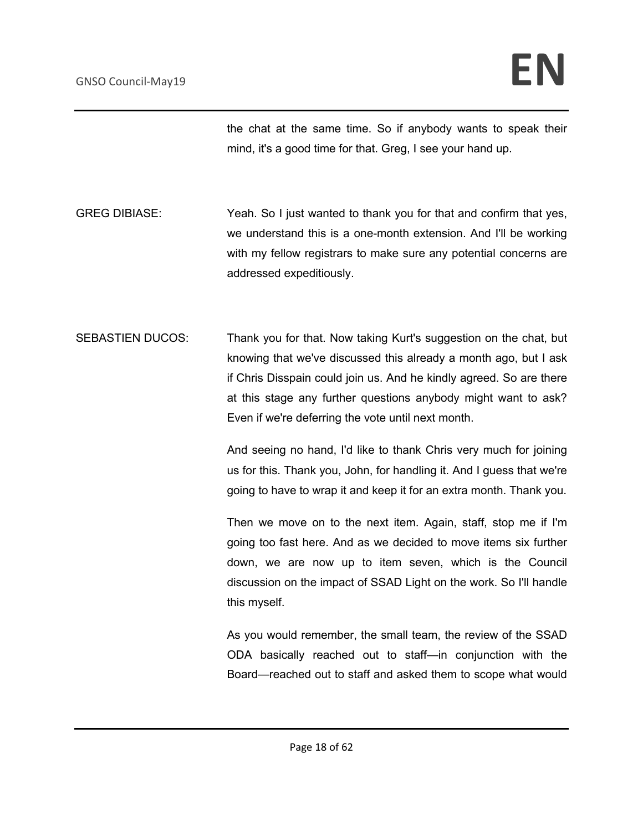the chat at the same time. So if anybody wants to speak their mind, it's a good time for that. Greg, I see your hand up.

GREG DIBIASE: Yeah. So I just wanted to thank you for that and confirm that yes, we understand this is a one-month extension. And I'll be working with my fellow registrars to make sure any potential concerns are addressed expeditiously.

SEBASTIEN DUCOS: Thank you for that. Now taking Kurt's suggestion on the chat, but knowing that we've discussed this already a month ago, but I ask if Chris Disspain could join us. And he kindly agreed. So are there at this stage any further questions anybody might want to ask? Even if we're deferring the vote until next month.

> And seeing no hand, I'd like to thank Chris very much for joining us for this. Thank you, John, for handling it. And I guess that we're going to have to wrap it and keep it for an extra month. Thank you.

> Then we move on to the next item. Again, staff, stop me if I'm going too fast here. And as we decided to move items six further down, we are now up to item seven, which is the Council discussion on the impact of SSAD Light on the work. So I'll handle this myself.

> As you would remember, the small team, the review of the SSAD ODA basically reached out to staff—in conjunction with the Board—reached out to staff and asked them to scope what would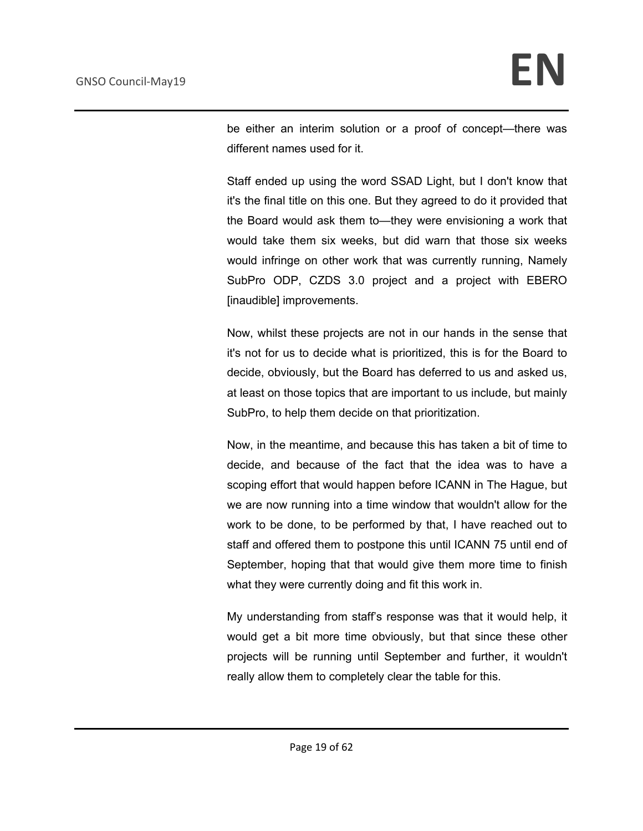be either an interim solution or a proof of concept—there was different names used for it.

Staff ended up using the word SSAD Light, but I don't know that it's the final title on this one. But they agreed to do it provided that the Board would ask them to—they were envisioning a work that would take them six weeks, but did warn that those six weeks would infringe on other work that was currently running, Namely SubPro ODP, CZDS 3.0 project and a project with EBERO [inaudible] improvements.

Now, whilst these projects are not in our hands in the sense that it's not for us to decide what is prioritized, this is for the Board to decide, obviously, but the Board has deferred to us and asked us, at least on those topics that are important to us include, but mainly SubPro, to help them decide on that prioritization.

Now, in the meantime, and because this has taken a bit of time to decide, and because of the fact that the idea was to have a scoping effort that would happen before ICANN in The Hague, but we are now running into a time window that wouldn't allow for the work to be done, to be performed by that, I have reached out to staff and offered them to postpone this until ICANN 75 until end of September, hoping that that would give them more time to finish what they were currently doing and fit this work in.

My understanding from staff's response was that it would help, it would get a bit more time obviously, but that since these other projects will be running until September and further, it wouldn't really allow them to completely clear the table for this.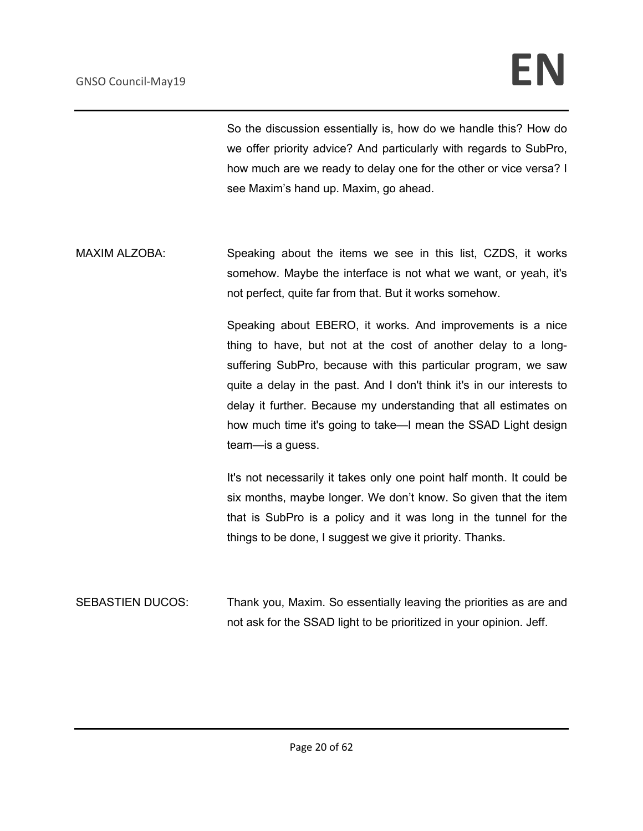So the discussion essentially is, how do we handle this? How do we offer priority advice? And particularly with regards to SubPro, how much are we ready to delay one for the other or vice versa? I see Maxim's hand up. Maxim, go ahead.

MAXIM ALZOBA: Speaking about the items we see in this list, CZDS, it works somehow. Maybe the interface is not what we want, or yeah, it's not perfect, quite far from that. But it works somehow.

> Speaking about EBERO, it works. And improvements is a nice thing to have, but not at the cost of another delay to a longsuffering SubPro, because with this particular program, we saw quite a delay in the past. And I don't think it's in our interests to delay it further. Because my understanding that all estimates on how much time it's going to take—I mean the SSAD Light design team—is a guess.

> It's not necessarily it takes only one point half month. It could be six months, maybe longer. We don't know. So given that the item that is SubPro is a policy and it was long in the tunnel for the things to be done, I suggest we give it priority. Thanks.

SEBASTIEN DUCOS: Thank you, Maxim. So essentially leaving the priorities as are and not ask for the SSAD light to be prioritized in your opinion. Jeff.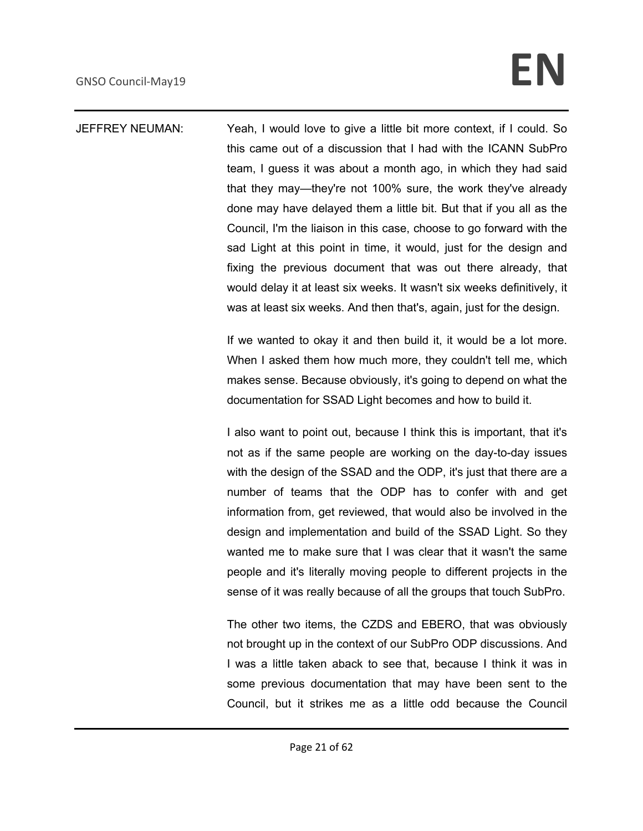# GNSO Council-May19 **EN**

### JEFFREY NEUMAN: Yeah, I would love to give a little bit more context, if I could. So this came out of a discussion that I had with the ICANN SubPro team, I guess it was about a month ago, in which they had said that they may—they're not 100% sure, the work they've already done may have delayed them a little bit. But that if you all as the Council, I'm the liaison in this case, choose to go forward with the sad Light at this point in time, it would, just for the design and fixing the previous document that was out there already, that would delay it at least six weeks. It wasn't six weeks definitively, it was at least six weeks. And then that's, again, just for the design.

If we wanted to okay it and then build it, it would be a lot more. When I asked them how much more, they couldn't tell me, which makes sense. Because obviously, it's going to depend on what the documentation for SSAD Light becomes and how to build it.

I also want to point out, because I think this is important, that it's not as if the same people are working on the day-to-day issues with the design of the SSAD and the ODP, it's just that there are a number of teams that the ODP has to confer with and get information from, get reviewed, that would also be involved in the design and implementation and build of the SSAD Light. So they wanted me to make sure that I was clear that it wasn't the same people and it's literally moving people to different projects in the sense of it was really because of all the groups that touch SubPro.

The other two items, the CZDS and EBERO, that was obviously not brought up in the context of our SubPro ODP discussions. And I was a little taken aback to see that, because I think it was in some previous documentation that may have been sent to the Council, but it strikes me as a little odd because the Council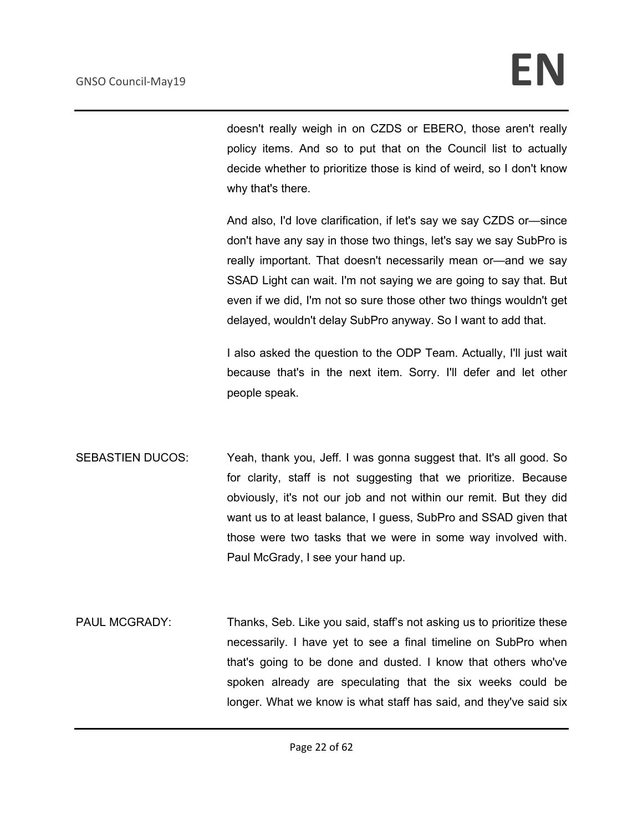doesn't really weigh in on CZDS or EBERO, those aren't really policy items. And so to put that on the Council list to actually decide whether to prioritize those is kind of weird, so I don't know why that's there.

And also, I'd love clarification, if let's say we say CZDS or—since don't have any say in those two things, let's say we say SubPro is really important. That doesn't necessarily mean or—and we say SSAD Light can wait. I'm not saying we are going to say that. But even if we did, I'm not so sure those other two things wouldn't get delayed, wouldn't delay SubPro anyway. So I want to add that.

I also asked the question to the ODP Team. Actually, I'll just wait because that's in the next item. Sorry. I'll defer and let other people speak.

- SEBASTIEN DUCOS: Yeah, thank you, Jeff. I was gonna suggest that. It's all good. So for clarity, staff is not suggesting that we prioritize. Because obviously, it's not our job and not within our remit. But they did want us to at least balance, I guess, SubPro and SSAD given that those were two tasks that we were in some way involved with. Paul McGrady, I see your hand up.
- PAUL MCGRADY: Thanks, Seb. Like you said, staff's not asking us to prioritize these necessarily. I have yet to see a final timeline on SubPro when that's going to be done and dusted. I know that others who've spoken already are speculating that the six weeks could be longer. What we know is what staff has said, and they've said six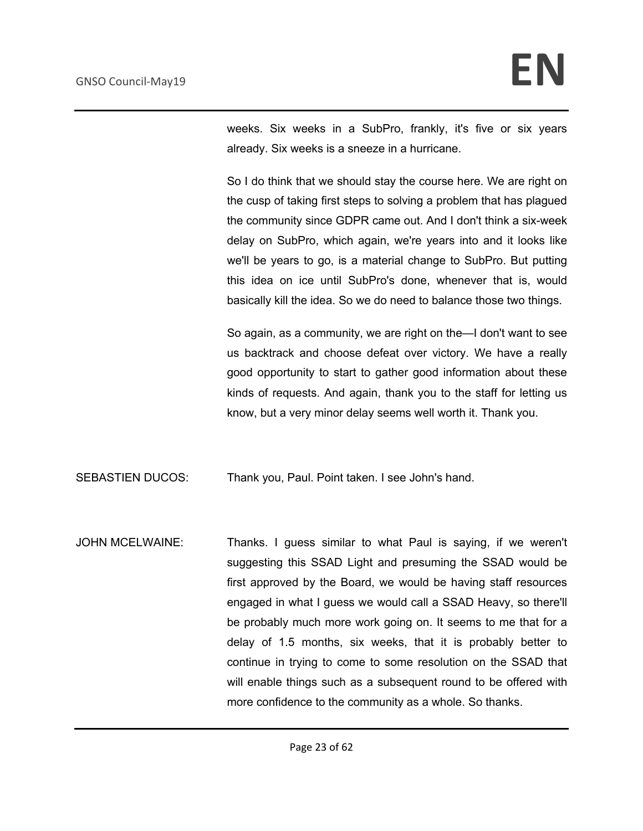weeks. Six weeks in a SubPro, frankly, it's five or six years already. Six weeks is a sneeze in a hurricane.

So I do think that we should stay the course here. We are right on the cusp of taking first steps to solving a problem that has plagued the community since GDPR came out. And I don't think a six-week delay on SubPro, which again, we're years into and it looks like we'll be years to go, is a material change to SubPro. But putting this idea on ice until SubPro's done, whenever that is, would basically kill the idea. So we do need to balance those two things.

So again, as a community, we are right on the—I don't want to see us backtrack and choose defeat over victory. We have a really good opportunity to start to gather good information about these kinds of requests. And again, thank you to the staff for letting us know, but a very minor delay seems well worth it. Thank you.

SEBASTIEN DUCOS: Thank you, Paul. Point taken. I see John's hand.

JOHN MCELWAINE: Thanks. I guess similar to what Paul is saying, if we weren't suggesting this SSAD Light and presuming the SSAD would be first approved by the Board, we would be having staff resources engaged in what I guess we would call a SSAD Heavy, so there'll be probably much more work going on. It seems to me that for a delay of 1.5 months, six weeks, that it is probably better to continue in trying to come to some resolution on the SSAD that will enable things such as a subsequent round to be offered with more confidence to the community as a whole. So thanks.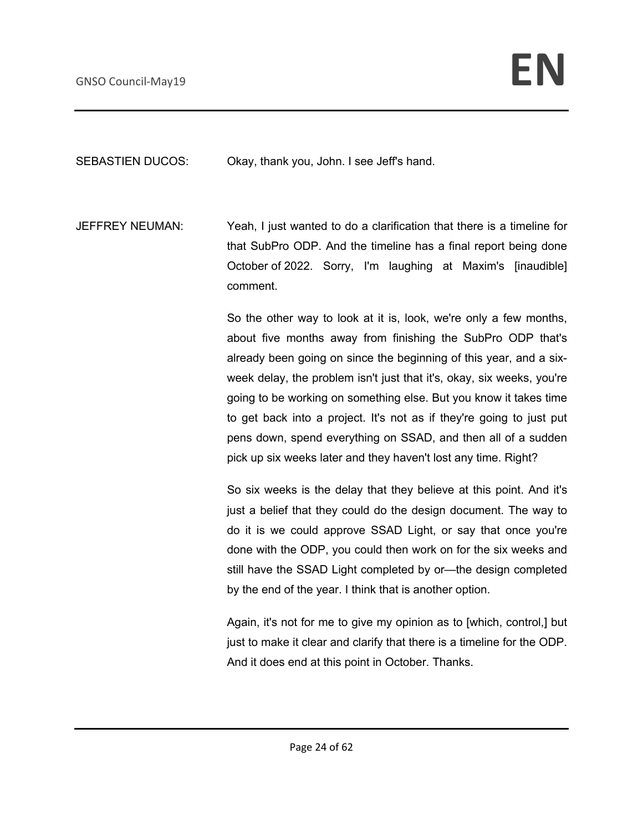SEBASTIEN DUCOS: Okay, thank you, John. I see Jeff's hand.

JEFFREY NEUMAN: Yeah, I just wanted to do a clarification that there is a timeline for that SubPro ODP. And the timeline has a final report being done October of 2022. Sorry, I'm laughing at Maxim's [inaudible] comment.

> So the other way to look at it is, look, we're only a few months, about five months away from finishing the SubPro ODP that's already been going on since the beginning of this year, and a sixweek delay, the problem isn't just that it's, okay, six weeks, you're going to be working on something else. But you know it takes time to get back into a project. It's not as if they're going to just put pens down, spend everything on SSAD, and then all of a sudden pick up six weeks later and they haven't lost any time. Right?

> So six weeks is the delay that they believe at this point. And it's just a belief that they could do the design document. The way to do it is we could approve SSAD Light, or say that once you're done with the ODP, you could then work on for the six weeks and still have the SSAD Light completed by or—the design completed by the end of the year. I think that is another option.

> Again, it's not for me to give my opinion as to [which, control,] but just to make it clear and clarify that there is a timeline for the ODP. And it does end at this point in October. Thanks.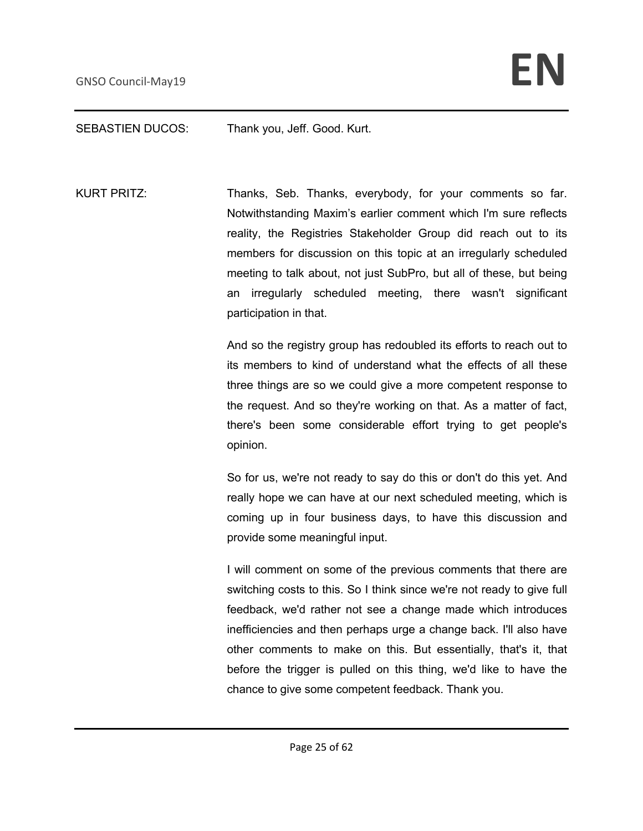#### SEBASTIEN DUCOS: Thank you, Jeff. Good. Kurt.

KURT PRITZ: Thanks, Seb. Thanks, everybody, for your comments so far. Notwithstanding Maxim's earlier comment which I'm sure reflects reality, the Registries Stakeholder Group did reach out to its members for discussion on this topic at an irregularly scheduled meeting to talk about, not just SubPro, but all of these, but being an irregularly scheduled meeting, there wasn't significant participation in that.

> And so the registry group has redoubled its efforts to reach out to its members to kind of understand what the effects of all these three things are so we could give a more competent response to the request. And so they're working on that. As a matter of fact, there's been some considerable effort trying to get people's opinion.

> So for us, we're not ready to say do this or don't do this yet. And really hope we can have at our next scheduled meeting, which is coming up in four business days, to have this discussion and provide some meaningful input.

> I will comment on some of the previous comments that there are switching costs to this. So I think since we're not ready to give full feedback, we'd rather not see a change made which introduces inefficiencies and then perhaps urge a change back. I'll also have other comments to make on this. But essentially, that's it, that before the trigger is pulled on this thing, we'd like to have the chance to give some competent feedback. Thank you.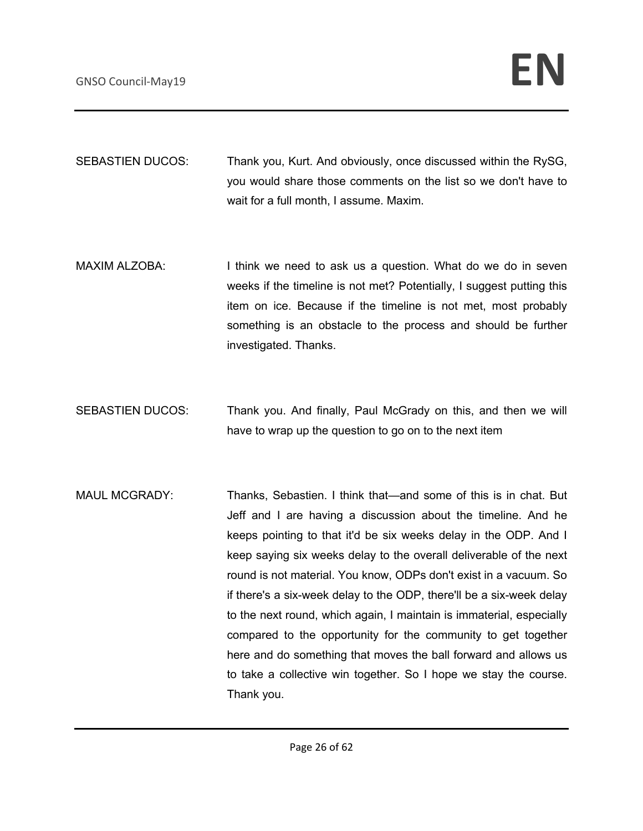SEBASTIEN DUCOS: Thank you, Kurt. And obviously, once discussed within the RySG, you would share those comments on the list so we don't have to wait for a full month, I assume. Maxim.

- MAXIM ALZOBA: I think we need to ask us a question. What do we do in seven weeks if the timeline is not met? Potentially, I suggest putting this item on ice. Because if the timeline is not met, most probably something is an obstacle to the process and should be further investigated. Thanks.
- SEBASTIEN DUCOS: Thank you. And finally, Paul McGrady on this, and then we will have to wrap up the question to go on to the next item
- MAUL MCGRADY: Thanks, Sebastien. I think that—and some of this is in chat. But Jeff and I are having a discussion about the timeline. And he keeps pointing to that it'd be six weeks delay in the ODP. And I keep saying six weeks delay to the overall deliverable of the next round is not material. You know, ODPs don't exist in a vacuum. So if there's a six-week delay to the ODP, there'll be a six-week delay to the next round, which again, I maintain is immaterial, especially compared to the opportunity for the community to get together here and do something that moves the ball forward and allows us to take a collective win together. So I hope we stay the course. Thank you.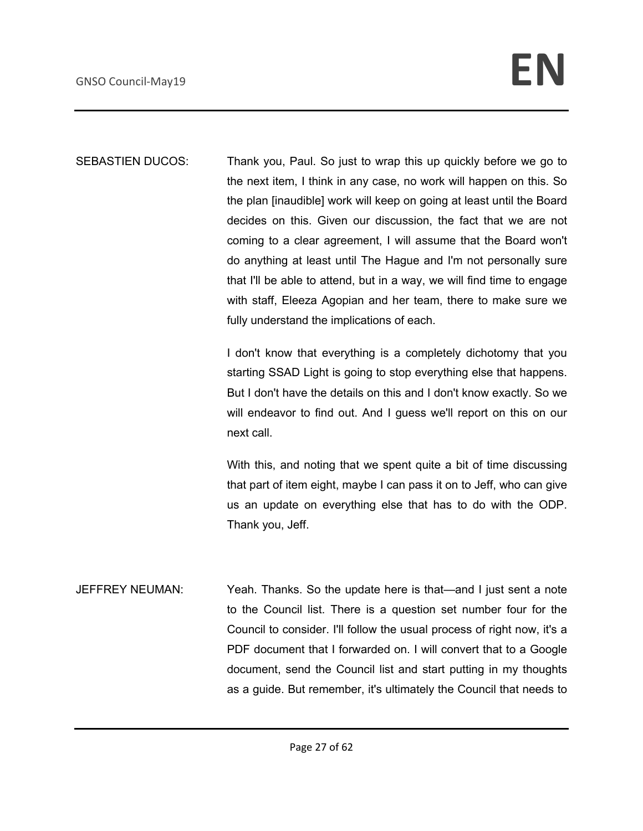SEBASTIEN DUCOS: Thank you, Paul. So just to wrap this up quickly before we go to the next item, I think in any case, no work will happen on this. So the plan [inaudible] work will keep on going at least until the Board decides on this. Given our discussion, the fact that we are not coming to a clear agreement, I will assume that the Board won't do anything at least until The Hague and I'm not personally sure that I'll be able to attend, but in a way, we will find time to engage with staff, Eleeza Agopian and her team, there to make sure we fully understand the implications of each.

> I don't know that everything is a completely dichotomy that you starting SSAD Light is going to stop everything else that happens. But I don't have the details on this and I don't know exactly. So we will endeavor to find out. And I guess we'll report on this on our next call.

> With this, and noting that we spent quite a bit of time discussing that part of item eight, maybe I can pass it on to Jeff, who can give us an update on everything else that has to do with the ODP. Thank you, Jeff.

JEFFREY NEUMAN: Yeah. Thanks. So the update here is that—and I just sent a note to the Council list. There is a question set number four for the Council to consider. I'll follow the usual process of right now, it's a PDF document that I forwarded on. I will convert that to a Google document, send the Council list and start putting in my thoughts as a guide. But remember, it's ultimately the Council that needs to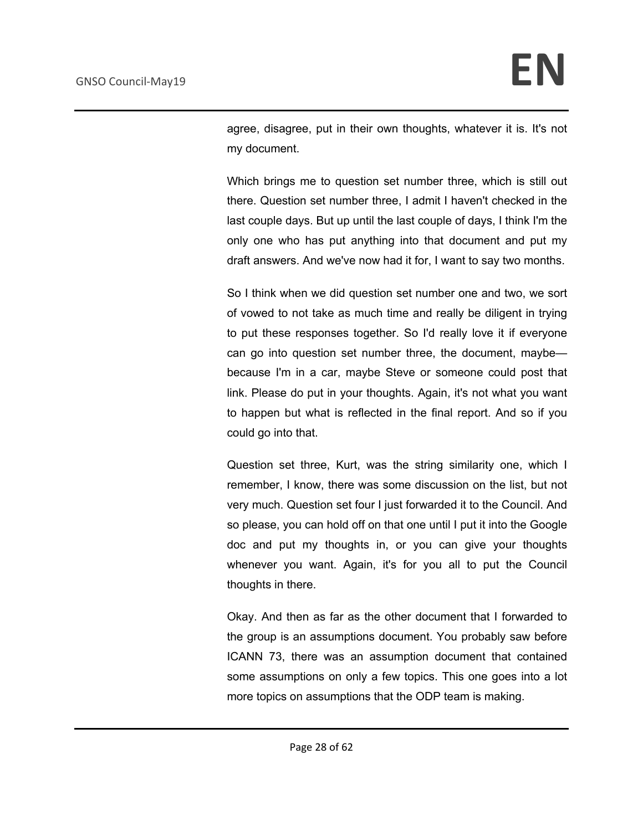agree, disagree, put in their own thoughts, whatever it is. It's not my document.

Which brings me to question set number three, which is still out there. Question set number three, I admit I haven't checked in the last couple days. But up until the last couple of days, I think I'm the only one who has put anything into that document and put my draft answers. And we've now had it for, I want to say two months.

So I think when we did question set number one and two, we sort of vowed to not take as much time and really be diligent in trying to put these responses together. So I'd really love it if everyone can go into question set number three, the document, maybe because I'm in a car, maybe Steve or someone could post that link. Please do put in your thoughts. Again, it's not what you want to happen but what is reflected in the final report. And so if you could go into that.

Question set three, Kurt, was the string similarity one, which I remember, I know, there was some discussion on the list, but not very much. Question set four I just forwarded it to the Council. And so please, you can hold off on that one until I put it into the Google doc and put my thoughts in, or you can give your thoughts whenever you want. Again, it's for you all to put the Council thoughts in there.

Okay. And then as far as the other document that I forwarded to the group is an assumptions document. You probably saw before ICANN 73, there was an assumption document that contained some assumptions on only a few topics. This one goes into a lot more topics on assumptions that the ODP team is making.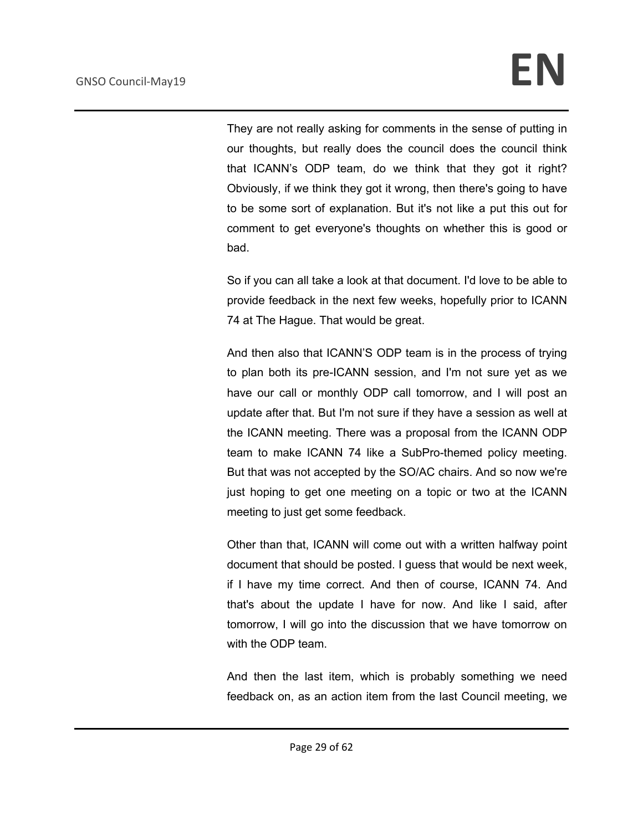They are not really asking for comments in the sense of putting in our thoughts, but really does the council does the council think that ICANN's ODP team, do we think that they got it right? Obviously, if we think they got it wrong, then there's going to have to be some sort of explanation. But it's not like a put this out for comment to get everyone's thoughts on whether this is good or bad.

So if you can all take a look at that document. I'd love to be able to provide feedback in the next few weeks, hopefully prior to ICANN 74 at The Hague. That would be great.

And then also that ICANN'S ODP team is in the process of trying to plan both its pre-ICANN session, and I'm not sure yet as we have our call or monthly ODP call tomorrow, and I will post an update after that. But I'm not sure if they have a session as well at the ICANN meeting. There was a proposal from the ICANN ODP team to make ICANN 74 like a SubPro-themed policy meeting. But that was not accepted by the SO/AC chairs. And so now we're just hoping to get one meeting on a topic or two at the ICANN meeting to just get some feedback.

Other than that, ICANN will come out with a written halfway point document that should be posted. I guess that would be next week, if I have my time correct. And then of course, ICANN 74. And that's about the update I have for now. And like I said, after tomorrow, I will go into the discussion that we have tomorrow on with the ODP team.

And then the last item, which is probably something we need feedback on, as an action item from the last Council meeting, we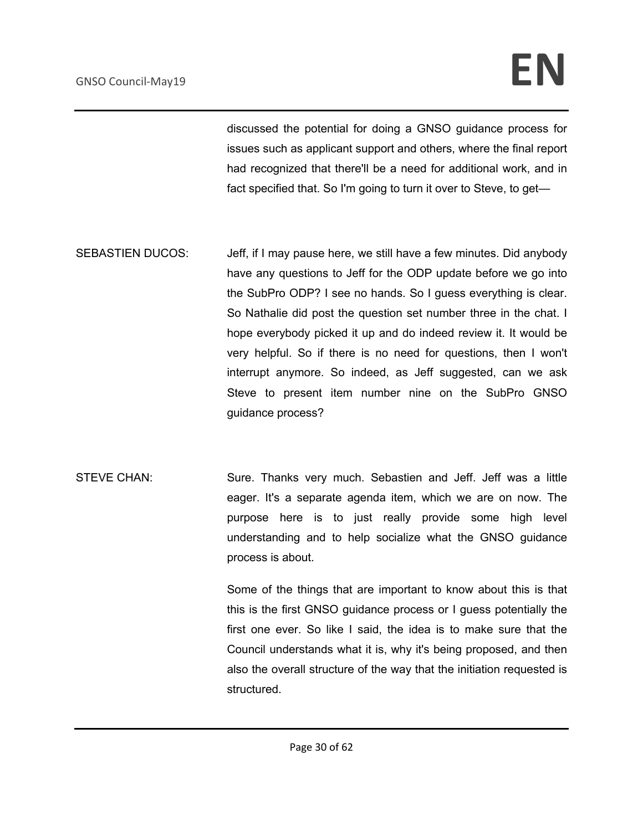# GNSO Council-May19 **EN**

discussed the potential for doing a GNSO guidance process for issues such as applicant support and others, where the final report had recognized that there'll be a need for additional work, and in fact specified that. So I'm going to turn it over to Steve, to get—

SEBASTIEN DUCOS: Jeff, if I may pause here, we still have a few minutes. Did anybody have any questions to Jeff for the ODP update before we go into the SubPro ODP? I see no hands. So I guess everything is clear. So Nathalie did post the question set number three in the chat. I hope everybody picked it up and do indeed review it. It would be very helpful. So if there is no need for questions, then I won't interrupt anymore. So indeed, as Jeff suggested, can we ask Steve to present item number nine on the SubPro GNSO guidance process?

STEVE CHAN: Sure. Thanks very much. Sebastien and Jeff. Jeff was a little eager. It's a separate agenda item, which we are on now. The purpose here is to just really provide some high level understanding and to help socialize what the GNSO guidance process is about.

> Some of the things that are important to know about this is that this is the first GNSO guidance process or I guess potentially the first one ever. So like I said, the idea is to make sure that the Council understands what it is, why it's being proposed, and then also the overall structure of the way that the initiation requested is structured.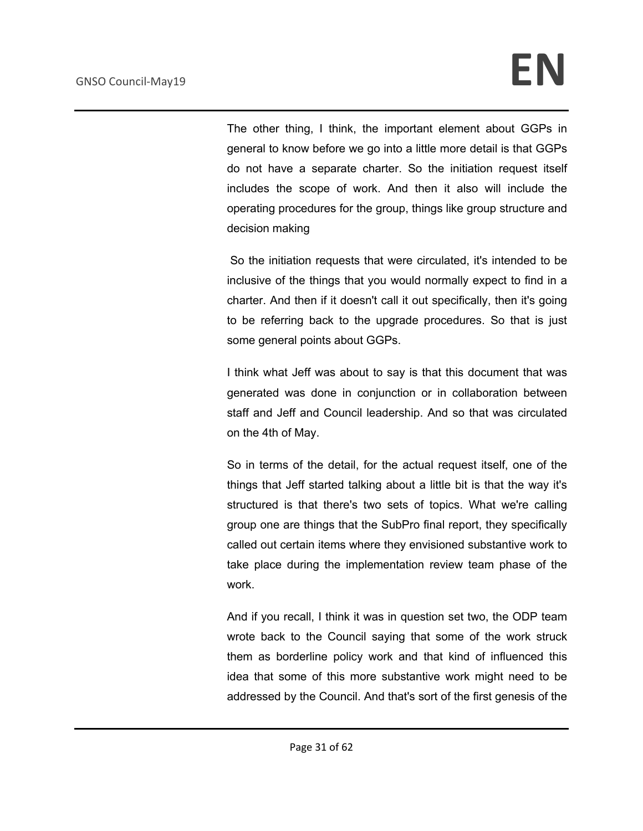The other thing, I think, the important element about GGPs in general to know before we go into a little more detail is that GGPs do not have a separate charter. So the initiation request itself includes the scope of work. And then it also will include the operating procedures for the group, things like group structure and decision making

So the initiation requests that were circulated, it's intended to be inclusive of the things that you would normally expect to find in a charter. And then if it doesn't call it out specifically, then it's going to be referring back to the upgrade procedures. So that is just some general points about GGPs.

I think what Jeff was about to say is that this document that was generated was done in conjunction or in collaboration between staff and Jeff and Council leadership. And so that was circulated on the 4th of May.

So in terms of the detail, for the actual request itself, one of the things that Jeff started talking about a little bit is that the way it's structured is that there's two sets of topics. What we're calling group one are things that the SubPro final report, they specifically called out certain items where they envisioned substantive work to take place during the implementation review team phase of the work.

And if you recall, I think it was in question set two, the ODP team wrote back to the Council saying that some of the work struck them as borderline policy work and that kind of influenced this idea that some of this more substantive work might need to be addressed by the Council. And that's sort of the first genesis of the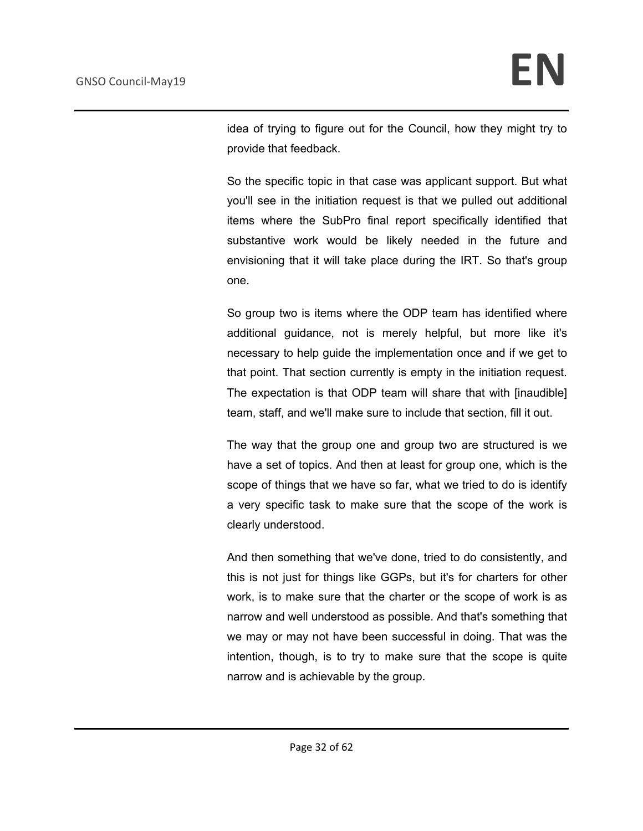idea of trying to figure out for the Council, how they might try to provide that feedback.

So the specific topic in that case was applicant support. But what you'll see in the initiation request is that we pulled out additional items where the SubPro final report specifically identified that substantive work would be likely needed in the future and envisioning that it will take place during the IRT. So that's group one.

So group two is items where the ODP team has identified where additional guidance, not is merely helpful, but more like it's necessary to help guide the implementation once and if we get to that point. That section currently is empty in the initiation request. The expectation is that ODP team will share that with [inaudible] team, staff, and we'll make sure to include that section, fill it out.

The way that the group one and group two are structured is we have a set of topics. And then at least for group one, which is the scope of things that we have so far, what we tried to do is identify a very specific task to make sure that the scope of the work is clearly understood.

And then something that we've done, tried to do consistently, and this is not just for things like GGPs, but it's for charters for other work, is to make sure that the charter or the scope of work is as narrow and well understood as possible. And that's something that we may or may not have been successful in doing. That was the intention, though, is to try to make sure that the scope is quite narrow and is achievable by the group.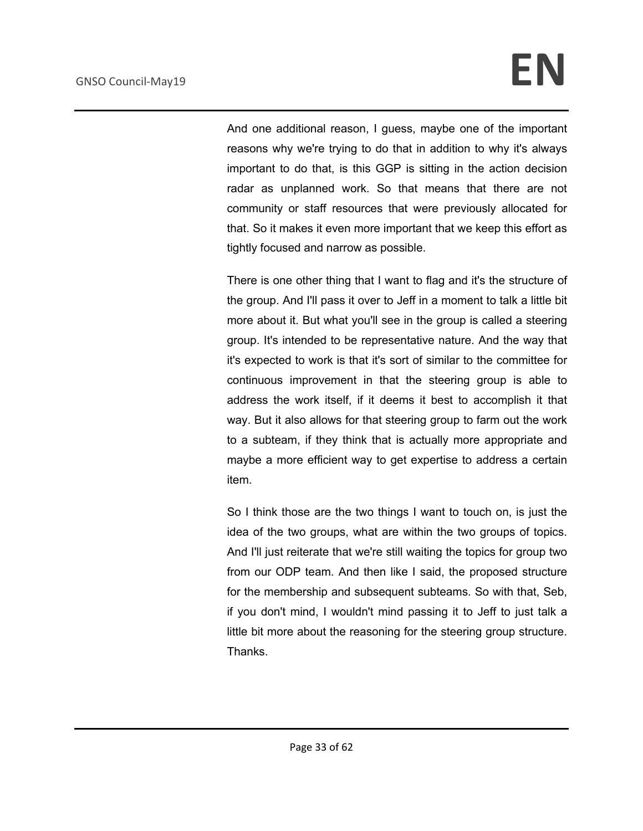And one additional reason, I guess, maybe one of the important reasons why we're trying to do that in addition to why it's always important to do that, is this GGP is sitting in the action decision radar as unplanned work. So that means that there are not community or staff resources that were previously allocated for that. So it makes it even more important that we keep this effort as tightly focused and narrow as possible.

There is one other thing that I want to flag and it's the structure of the group. And I'll pass it over to Jeff in a moment to talk a little bit more about it. But what you'll see in the group is called a steering group. It's intended to be representative nature. And the way that it's expected to work is that it's sort of similar to the committee for continuous improvement in that the steering group is able to address the work itself, if it deems it best to accomplish it that way. But it also allows for that steering group to farm out the work to a subteam, if they think that is actually more appropriate and maybe a more efficient way to get expertise to address a certain item.

So I think those are the two things I want to touch on, is just the idea of the two groups, what are within the two groups of topics. And I'll just reiterate that we're still waiting the topics for group two from our ODP team. And then like I said, the proposed structure for the membership and subsequent subteams. So with that, Seb, if you don't mind, I wouldn't mind passing it to Jeff to just talk a little bit more about the reasoning for the steering group structure. Thanks.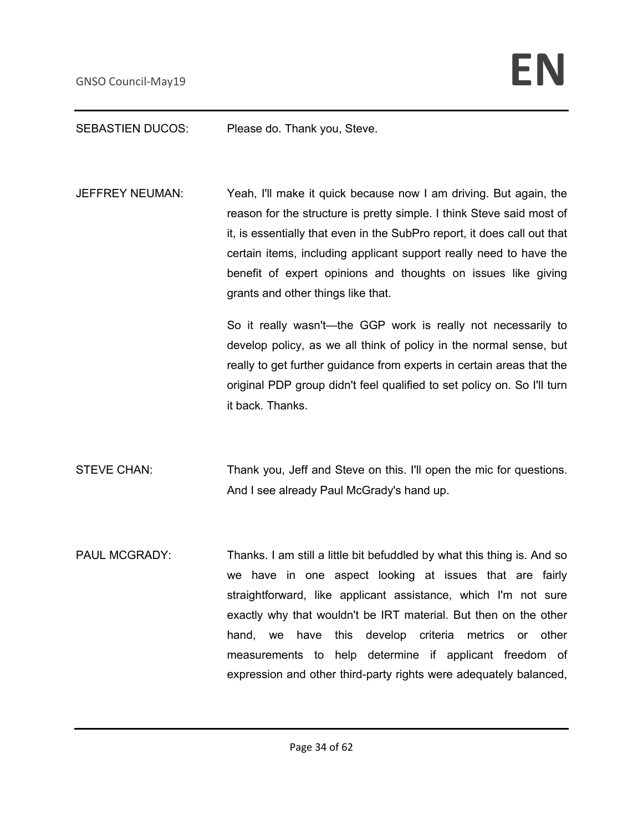#### SEBASTIEN DUCOS: Please do. Thank you, Steve.

JEFFREY NEUMAN: Yeah, I'll make it quick because now I am driving. But again, the reason for the structure is pretty simple. I think Steve said most of it, is essentially that even in the SubPro report, it does call out that certain items, including applicant support really need to have the benefit of expert opinions and thoughts on issues like giving grants and other things like that.

> So it really wasn't—the GGP work is really not necessarily to develop policy, as we all think of policy in the normal sense, but really to get further guidance from experts in certain areas that the original PDP group didn't feel qualified to set policy on. So I'll turn it back. Thanks.

- STEVE CHAN: Thank you, Jeff and Steve on this. I'll open the mic for questions. And I see already Paul McGrady's hand up.
- PAUL MCGRADY: Thanks. I am still a little bit befuddled by what this thing is. And so we have in one aspect looking at issues that are fairly straightforward, like applicant assistance, which I'm not sure exactly why that wouldn't be IRT material. But then on the other hand, we have this develop criteria metrics or other measurements to help determine if applicant freedom of expression and other third-party rights were adequately balanced,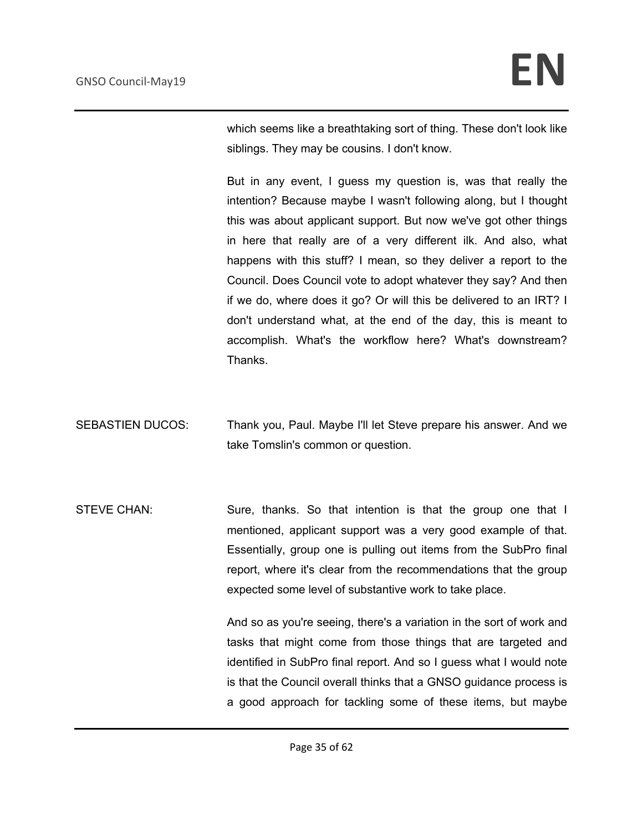which seems like a breathtaking sort of thing. These don't look like siblings. They may be cousins. I don't know.

But in any event, I guess my question is, was that really the intention? Because maybe I wasn't following along, but I thought this was about applicant support. But now we've got other things in here that really are of a very different ilk. And also, what happens with this stuff? I mean, so they deliver a report to the Council. Does Council vote to adopt whatever they say? And then if we do, where does it go? Or will this be delivered to an IRT? I don't understand what, at the end of the day, this is meant to accomplish. What's the workflow here? What's downstream? Thanks.

SEBASTIEN DUCOS: Thank you, Paul. Maybe I'll let Steve prepare his answer. And we take Tomslin's common or question.

STEVE CHAN: Sure, thanks. So that intention is that the group one that I mentioned, applicant support was a very good example of that. Essentially, group one is pulling out items from the SubPro final report, where it's clear from the recommendations that the group expected some level of substantive work to take place.

> And so as you're seeing, there's a variation in the sort of work and tasks that might come from those things that are targeted and identified in SubPro final report. And so I guess what I would note is that the Council overall thinks that a GNSO guidance process is a good approach for tackling some of these items, but maybe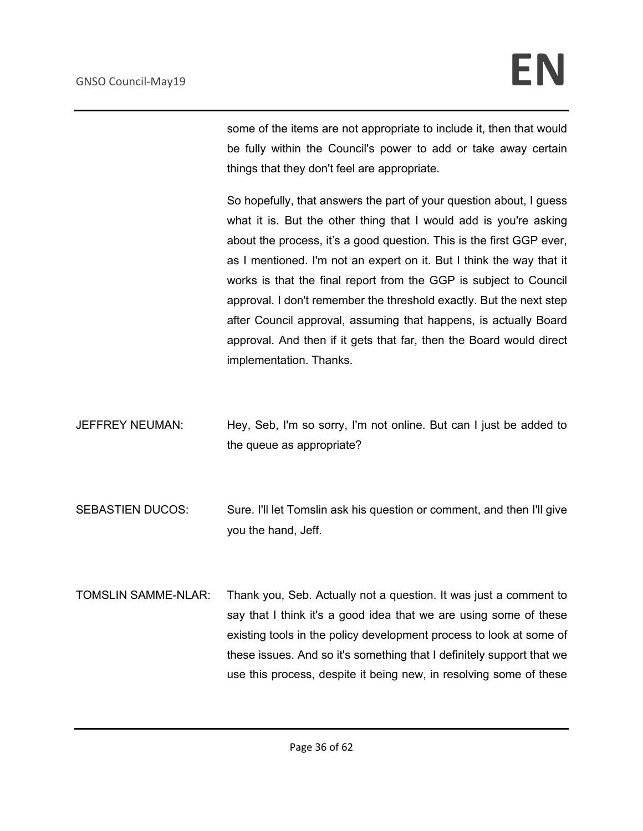some of the items are not appropriate to include it, then that would be fully within the Council's power to add or take away certain things that they don't feel are appropriate.

So hopefully, that answers the part of your question about, I guess what it is. But the other thing that I would add is you're asking about the process, it's a good question. This is the first GGP ever, as I mentioned. I'm not an expert on it. But I think the way that it works is that the final report from the GGP is subject to Council approval. I don't remember the threshold exactly. But the next step after Council approval, assuming that happens, is actually Board approval. And then if it gets that far, then the Board would direct implementation. Thanks.

- JEFFREY NEUMAN: Hey, Seb, I'm so sorry, I'm not online. But can I just be added to the queue as appropriate?
- SEBASTIEN DUCOS: Sure. I'll let Tomslin ask his question or comment, and then I'll give you the hand, Jeff.
- TOMSLIN SAMME-NLAR: Thank you, Seb. Actually not a question. It was just a comment to say that I think it's a good idea that we are using some of these existing tools in the policy development process to look at some of these issues. And so it's something that I definitely support that we use this process, despite it being new, in resolving some of these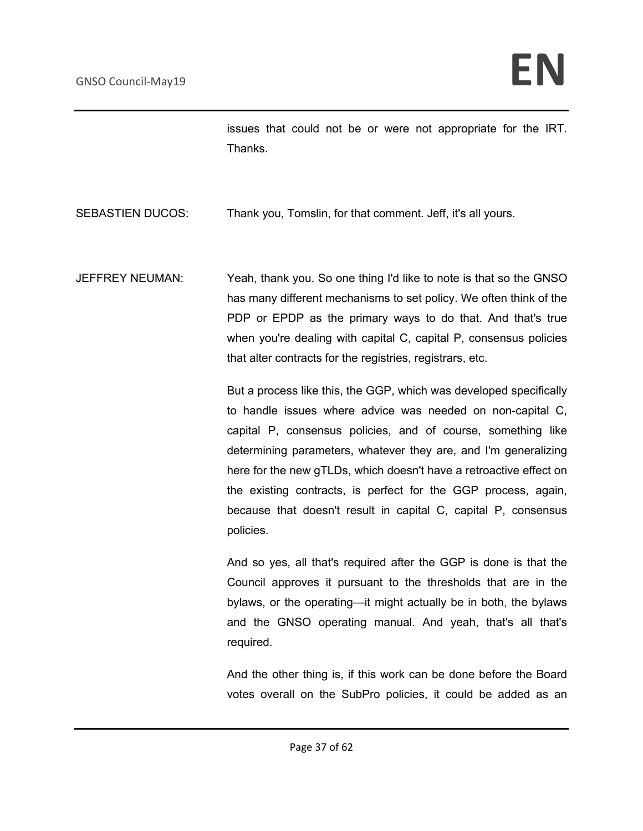issues that could not be or were not appropriate for the IRT. Thanks.

### SEBASTIEN DUCOS: Thank you, Tomslin, for that comment. Jeff, it's all yours.

JEFFREY NEUMAN: Yeah, thank you. So one thing I'd like to note is that so the GNSO has many different mechanisms to set policy. We often think of the PDP or EPDP as the primary ways to do that. And that's true when you're dealing with capital C, capital P, consensus policies that alter contracts for the registries, registrars, etc.

> But a process like this, the GGP, which was developed specifically to handle issues where advice was needed on non-capital C, capital P, consensus policies, and of course, something like determining parameters, whatever they are, and I'm generalizing here for the new gTLDs, which doesn't have a retroactive effect on the existing contracts, is perfect for the GGP process, again, because that doesn't result in capital C, capital P, consensus policies.

> And so yes, all that's required after the GGP is done is that the Council approves it pursuant to the thresholds that are in the bylaws, or the operating—it might actually be in both, the bylaws and the GNSO operating manual. And yeah, that's all that's required.

> And the other thing is, if this work can be done before the Board votes overall on the SubPro policies, it could be added as an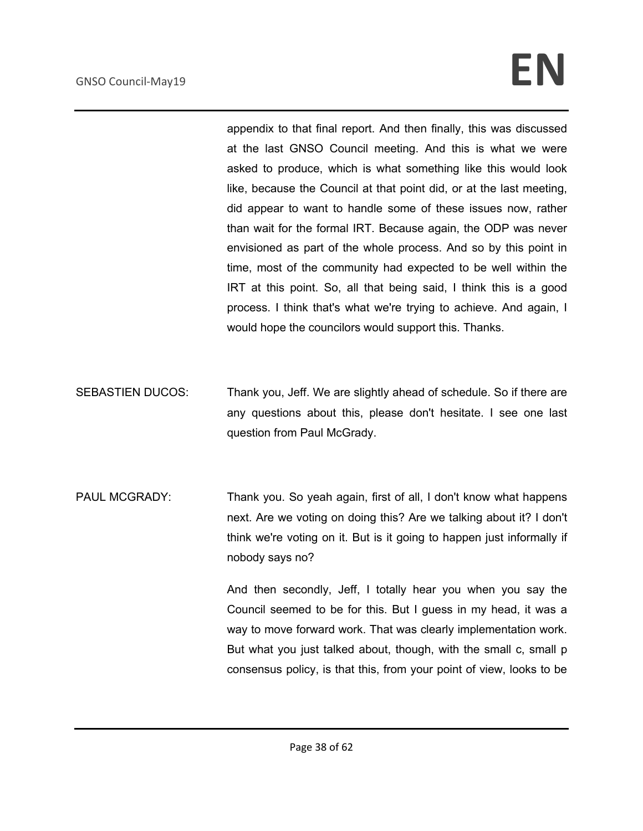appendix to that final report. And then finally, this was discussed at the last GNSO Council meeting. And this is what we were asked to produce, which is what something like this would look like, because the Council at that point did, or at the last meeting, did appear to want to handle some of these issues now, rather than wait for the formal IRT. Because again, the ODP was never envisioned as part of the whole process. And so by this point in time, most of the community had expected to be well within the IRT at this point. So, all that being said, I think this is a good process. I think that's what we're trying to achieve. And again, I would hope the councilors would support this. Thanks.

- SEBASTIEN DUCOS: Thank you, Jeff. We are slightly ahead of schedule. So if there are any questions about this, please don't hesitate. I see one last question from Paul McGrady.
- PAUL MCGRADY: Thank you. So yeah again, first of all, I don't know what happens next. Are we voting on doing this? Are we talking about it? I don't think we're voting on it. But is it going to happen just informally if nobody says no?

And then secondly, Jeff, I totally hear you when you say the Council seemed to be for this. But I guess in my head, it was a way to move forward work. That was clearly implementation work. But what you just talked about, though, with the small c, small p consensus policy, is that this, from your point of view, looks to be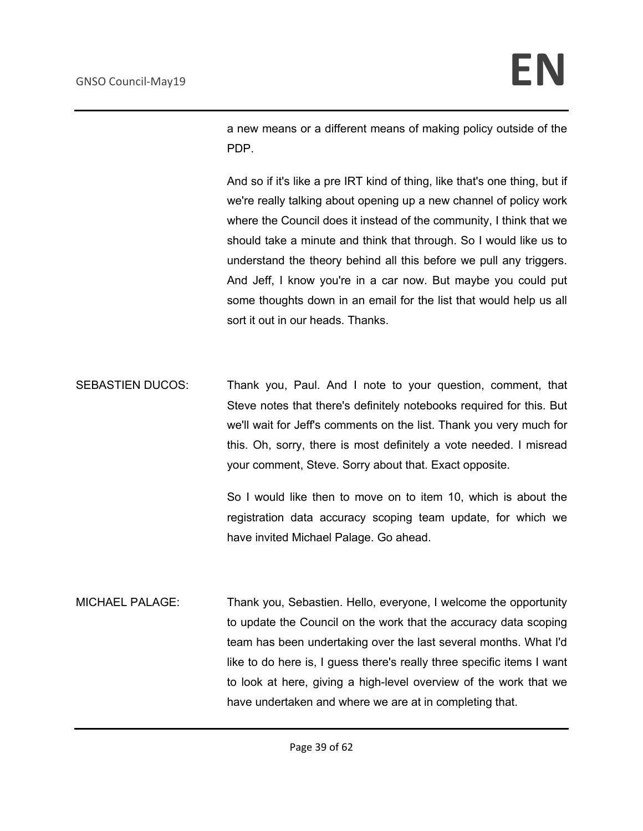a new means or a different means of making policy outside of the PDP.

And so if it's like a pre IRT kind of thing, like that's one thing, but if we're really talking about opening up a new channel of policy work where the Council does it instead of the community, I think that we should take a minute and think that through. So I would like us to understand the theory behind all this before we pull any triggers. And Jeff, I know you're in a car now. But maybe you could put some thoughts down in an email for the list that would help us all sort it out in our heads. Thanks.

SEBASTIEN DUCOS: Thank you, Paul. And I note to your question, comment, that Steve notes that there's definitely notebooks required for this. But we'll wait for Jeff's comments on the list. Thank you very much for this. Oh, sorry, there is most definitely a vote needed. I misread your comment, Steve. Sorry about that. Exact opposite.

> So I would like then to move on to item 10, which is about the registration data accuracy scoping team update, for which we have invited Michael Palage. Go ahead.

MICHAEL PALAGE: Thank you, Sebastien. Hello, everyone, I welcome the opportunity to update the Council on the work that the accuracy data scoping team has been undertaking over the last several months. What I'd like to do here is, I guess there's really three specific items I want to look at here, giving a high-level overview of the work that we have undertaken and where we are at in completing that.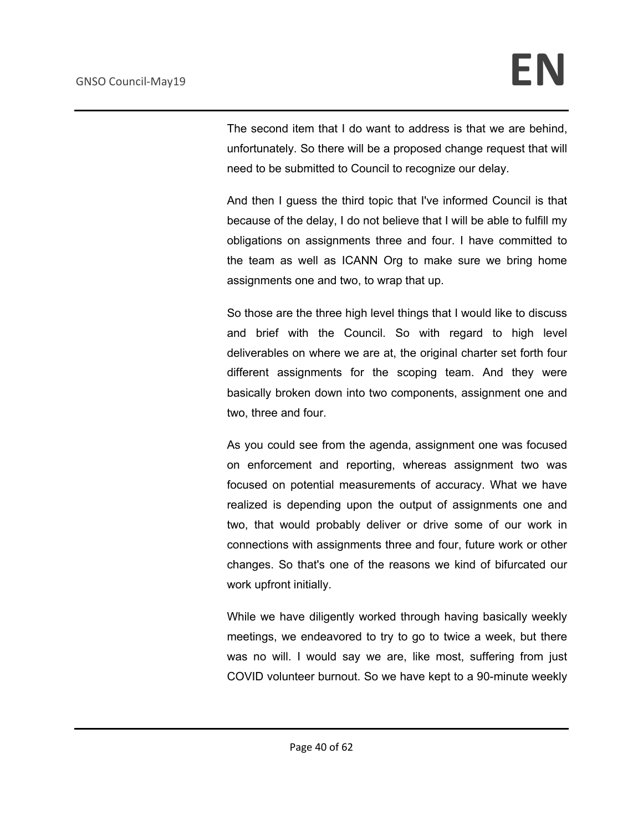The second item that I do want to address is that we are behind, unfortunately. So there will be a proposed change request that will need to be submitted to Council to recognize our delay.

And then I guess the third topic that I've informed Council is that because of the delay, I do not believe that I will be able to fulfill my obligations on assignments three and four. I have committed to the team as well as ICANN Org to make sure we bring home assignments one and two, to wrap that up.

So those are the three high level things that I would like to discuss and brief with the Council. So with regard to high level deliverables on where we are at, the original charter set forth four different assignments for the scoping team. And they were basically broken down into two components, assignment one and two, three and four.

As you could see from the agenda, assignment one was focused on enforcement and reporting, whereas assignment two was focused on potential measurements of accuracy. What we have realized is depending upon the output of assignments one and two, that would probably deliver or drive some of our work in connections with assignments three and four, future work or other changes. So that's one of the reasons we kind of bifurcated our work upfront initially.

While we have diligently worked through having basically weekly meetings, we endeavored to try to go to twice a week, but there was no will. I would say we are, like most, suffering from just COVID volunteer burnout. So we have kept to a 90-minute weekly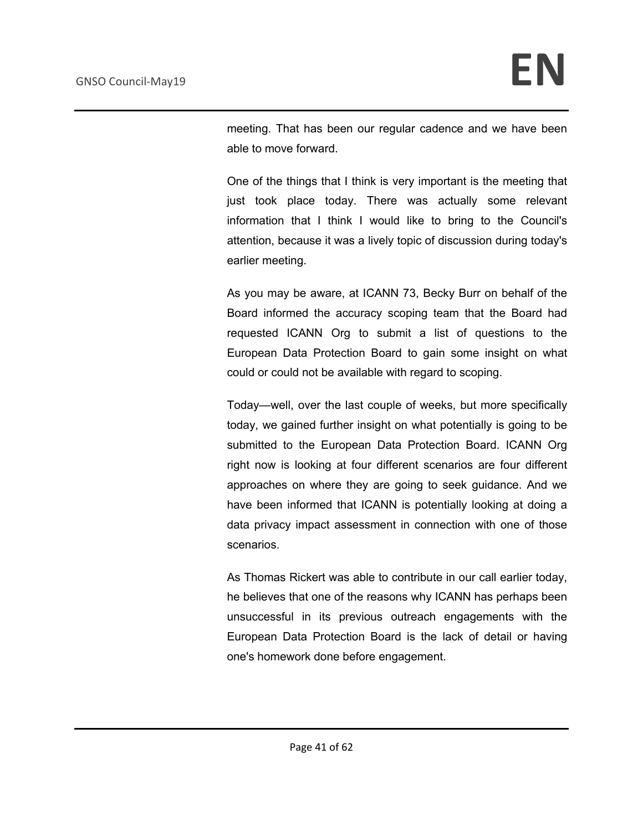meeting. That has been our regular cadence and we have been able to move forward.

One of the things that I think is very important is the meeting that just took place today. There was actually some relevant information that I think I would like to bring to the Council's attention, because it was a lively topic of discussion during today's earlier meeting.

As you may be aware, at ICANN 73, Becky Burr on behalf of the Board informed the accuracy scoping team that the Board had requested ICANN Org to submit a list of questions to the European Data Protection Board to gain some insight on what could or could not be available with regard to scoping.

Today—well, over the last couple of weeks, but more specifically today, we gained further insight on what potentially is going to be submitted to the European Data Protection Board. ICANN Org right now is looking at four different scenarios are four different approaches on where they are going to seek guidance. And we have been informed that ICANN is potentially looking at doing a data privacy impact assessment in connection with one of those scenarios.

As Thomas Rickert was able to contribute in our call earlier today, he believes that one of the reasons why ICANN has perhaps been unsuccessful in its previous outreach engagements with the European Data Protection Board is the lack of detail or having one's homework done before engagement.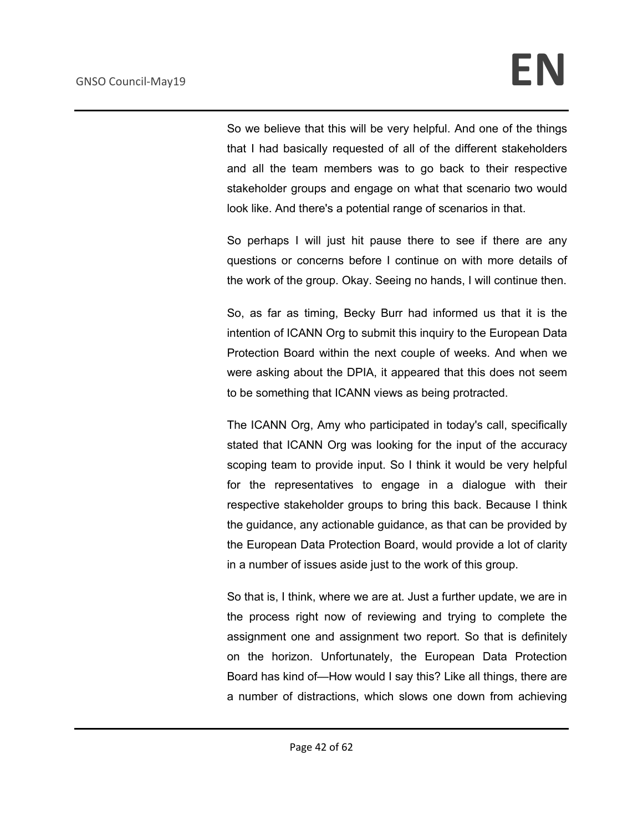So we believe that this will be very helpful. And one of the things that I had basically requested of all of the different stakeholders and all the team members was to go back to their respective stakeholder groups and engage on what that scenario two would look like. And there's a potential range of scenarios in that.

So perhaps I will just hit pause there to see if there are any questions or concerns before I continue on with more details of the work of the group. Okay. Seeing no hands, I will continue then.

So, as far as timing, Becky Burr had informed us that it is the intention of ICANN Org to submit this inquiry to the European Data Protection Board within the next couple of weeks. And when we were asking about the DPIA, it appeared that this does not seem to be something that ICANN views as being protracted.

The ICANN Org, Amy who participated in today's call, specifically stated that ICANN Org was looking for the input of the accuracy scoping team to provide input. So I think it would be very helpful for the representatives to engage in a dialogue with their respective stakeholder groups to bring this back. Because I think the guidance, any actionable guidance, as that can be provided by the European Data Protection Board, would provide a lot of clarity in a number of issues aside just to the work of this group.

So that is, I think, where we are at. Just a further update, we are in the process right now of reviewing and trying to complete the assignment one and assignment two report. So that is definitely on the horizon. Unfortunately, the European Data Protection Board has kind of—How would I say this? Like all things, there are a number of distractions, which slows one down from achieving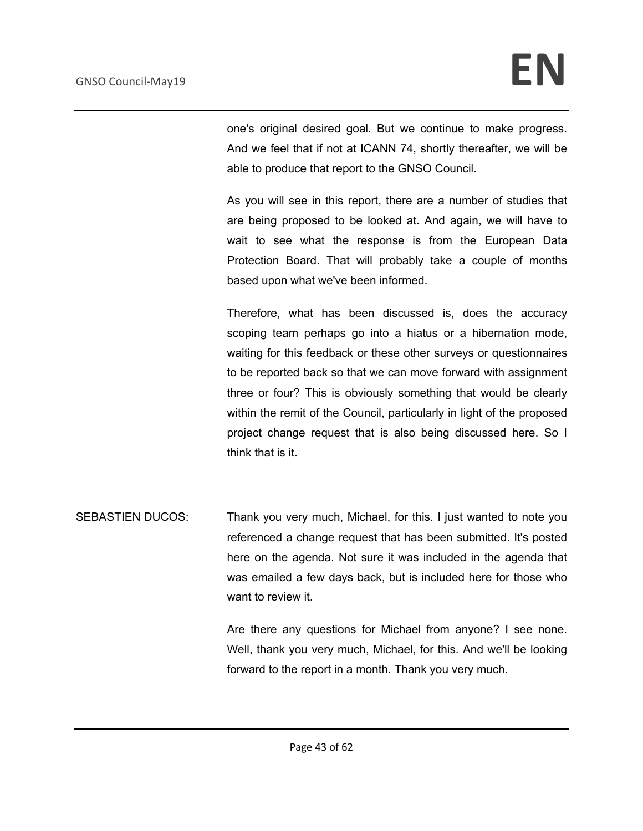one's original desired goal. But we continue to make progress. And we feel that if not at ICANN 74, shortly thereafter, we will be able to produce that report to the GNSO Council.

As you will see in this report, there are a number of studies that are being proposed to be looked at. And again, we will have to wait to see what the response is from the European Data Protection Board. That will probably take a couple of months based upon what we've been informed.

Therefore, what has been discussed is, does the accuracy scoping team perhaps go into a hiatus or a hibernation mode, waiting for this feedback or these other surveys or questionnaires to be reported back so that we can move forward with assignment three or four? This is obviously something that would be clearly within the remit of the Council, particularly in light of the proposed project change request that is also being discussed here. So I think that is it.

SEBASTIEN DUCOS: Thank you very much, Michael, for this. I just wanted to note you referenced a change request that has been submitted. It's posted here on the agenda. Not sure it was included in the agenda that was emailed a few days back, but is included here for those who want to review it.

> Are there any questions for Michael from anyone? I see none. Well, thank you very much, Michael, for this. And we'll be looking forward to the report in a month. Thank you very much.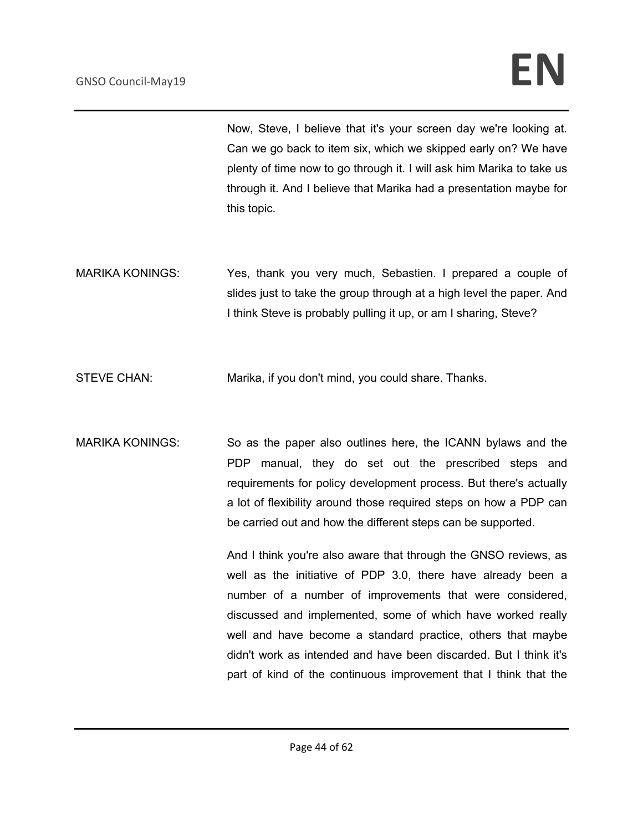Now, Steve, I believe that it's your screen day we're looking at. Can we go back to item six, which we skipped early on? We have plenty of time now to go through it. I will ask him Marika to take us through it. And I believe that Marika had a presentation maybe for this topic.

MARIKA KONINGS: Yes, thank you very much, Sebastien. I prepared a couple of slides just to take the group through at a high level the paper. And I think Steve is probably pulling it up, or am I sharing, Steve?

STEVE CHAN: Marika, if you don't mind, you could share. Thanks.

MARIKA KONINGS: So as the paper also outlines here, the ICANN bylaws and the PDP manual, they do set out the prescribed steps and requirements for policy development process. But there's actually a lot of flexibility around those required steps on how a PDP can be carried out and how the different steps can be supported.

> And I think you're also aware that through the GNSO reviews, as well as the initiative of PDP 3.0, there have already been a number of a number of improvements that were considered, discussed and implemented, some of which have worked really well and have become a standard practice, others that maybe didn't work as intended and have been discarded. But I think it's part of kind of the continuous improvement that I think that the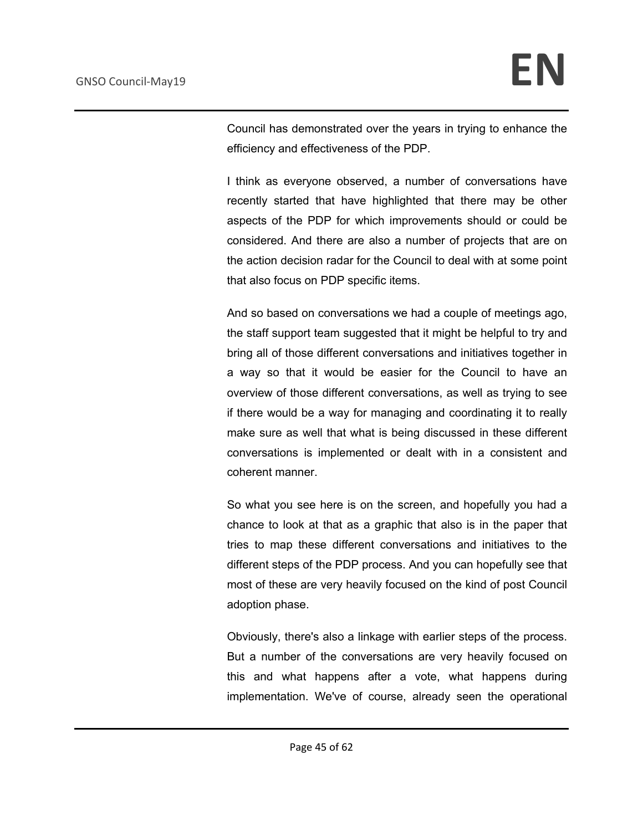Council has demonstrated over the years in trying to enhance the efficiency and effectiveness of the PDP.

I think as everyone observed, a number of conversations have recently started that have highlighted that there may be other aspects of the PDP for which improvements should or could be considered. And there are also a number of projects that are on the action decision radar for the Council to deal with at some point that also focus on PDP specific items.

And so based on conversations we had a couple of meetings ago, the staff support team suggested that it might be helpful to try and bring all of those different conversations and initiatives together in a way so that it would be easier for the Council to have an overview of those different conversations, as well as trying to see if there would be a way for managing and coordinating it to really make sure as well that what is being discussed in these different conversations is implemented or dealt with in a consistent and coherent manner.

So what you see here is on the screen, and hopefully you had a chance to look at that as a graphic that also is in the paper that tries to map these different conversations and initiatives to the different steps of the PDP process. And you can hopefully see that most of these are very heavily focused on the kind of post Council adoption phase.

Obviously, there's also a linkage with earlier steps of the process. But a number of the conversations are very heavily focused on this and what happens after a vote, what happens during implementation. We've of course, already seen the operational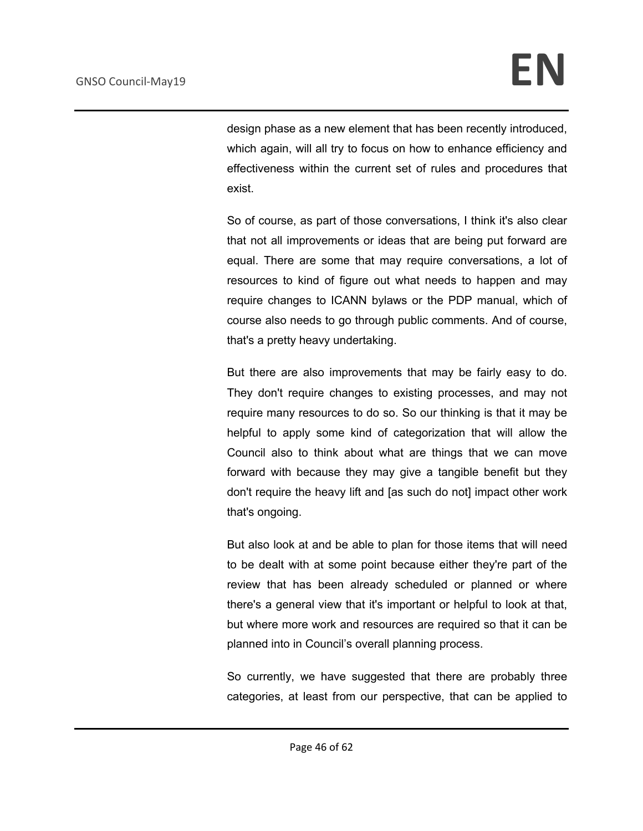design phase as a new element that has been recently introduced, which again, will all try to focus on how to enhance efficiency and effectiveness within the current set of rules and procedures that exist.

So of course, as part of those conversations, I think it's also clear that not all improvements or ideas that are being put forward are equal. There are some that may require conversations, a lot of resources to kind of figure out what needs to happen and may require changes to ICANN bylaws or the PDP manual, which of course also needs to go through public comments. And of course, that's a pretty heavy undertaking.

But there are also improvements that may be fairly easy to do. They don't require changes to existing processes, and may not require many resources to do so. So our thinking is that it may be helpful to apply some kind of categorization that will allow the Council also to think about what are things that we can move forward with because they may give a tangible benefit but they don't require the heavy lift and [as such do not] impact other work that's ongoing.

But also look at and be able to plan for those items that will need to be dealt with at some point because either they're part of the review that has been already scheduled or planned or where there's a general view that it's important or helpful to look at that, but where more work and resources are required so that it can be planned into in Council's overall planning process.

So currently, we have suggested that there are probably three categories, at least from our perspective, that can be applied to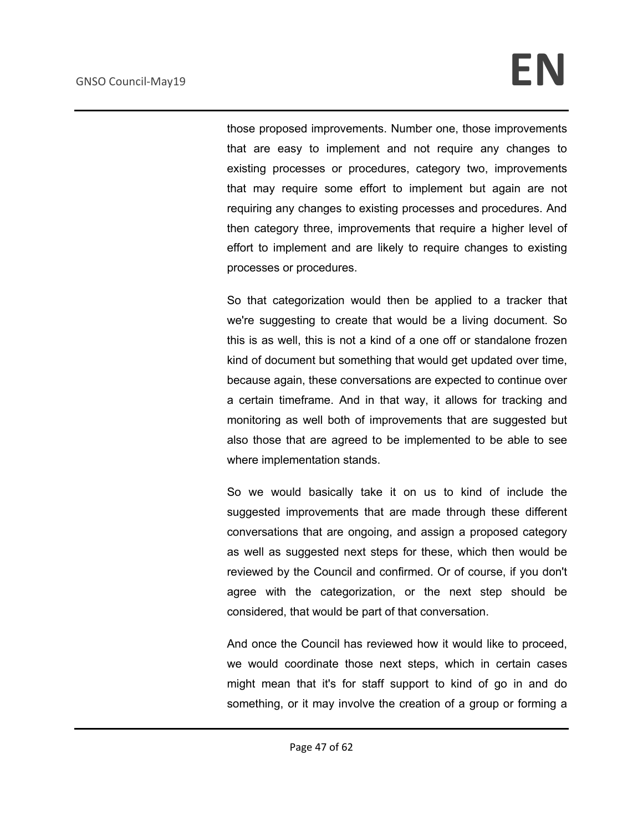those proposed improvements. Number one, those improvements that are easy to implement and not require any changes to existing processes or procedures, category two, improvements that may require some effort to implement but again are not requiring any changes to existing processes and procedures. And then category three, improvements that require a higher level of effort to implement and are likely to require changes to existing processes or procedures.

So that categorization would then be applied to a tracker that we're suggesting to create that would be a living document. So this is as well, this is not a kind of a one off or standalone frozen kind of document but something that would get updated over time, because again, these conversations are expected to continue over a certain timeframe. And in that way, it allows for tracking and monitoring as well both of improvements that are suggested but also those that are agreed to be implemented to be able to see where implementation stands.

So we would basically take it on us to kind of include the suggested improvements that are made through these different conversations that are ongoing, and assign a proposed category as well as suggested next steps for these, which then would be reviewed by the Council and confirmed. Or of course, if you don't agree with the categorization, or the next step should be considered, that would be part of that conversation.

And once the Council has reviewed how it would like to proceed, we would coordinate those next steps, which in certain cases might mean that it's for staff support to kind of go in and do something, or it may involve the creation of a group or forming a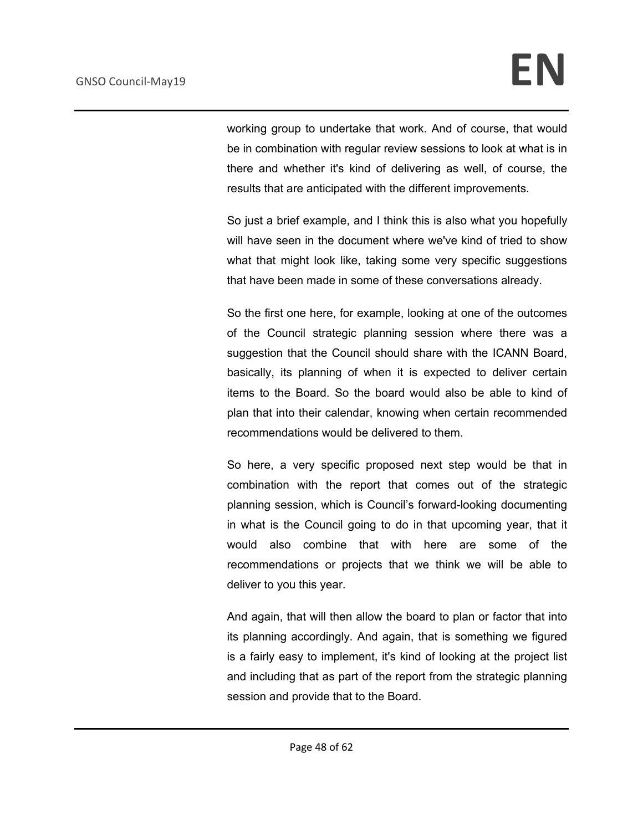working group to undertake that work. And of course, that would be in combination with regular review sessions to look at what is in there and whether it's kind of delivering as well, of course, the results that are anticipated with the different improvements.

So just a brief example, and I think this is also what you hopefully will have seen in the document where we've kind of tried to show what that might look like, taking some very specific suggestions that have been made in some of these conversations already.

So the first one here, for example, looking at one of the outcomes of the Council strategic planning session where there was a suggestion that the Council should share with the ICANN Board, basically, its planning of when it is expected to deliver certain items to the Board. So the board would also be able to kind of plan that into their calendar, knowing when certain recommended recommendations would be delivered to them.

So here, a very specific proposed next step would be that in combination with the report that comes out of the strategic planning session, which is Council's forward-looking documenting in what is the Council going to do in that upcoming year, that it would also combine that with here are some of the recommendations or projects that we think we will be able to deliver to you this year.

And again, that will then allow the board to plan or factor that into its planning accordingly. And again, that is something we figured is a fairly easy to implement, it's kind of looking at the project list and including that as part of the report from the strategic planning session and provide that to the Board.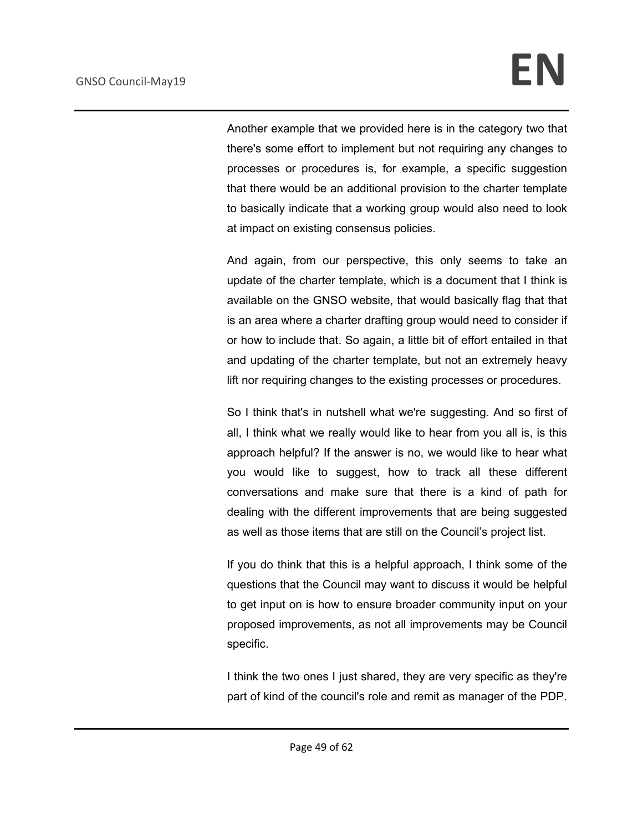Another example that we provided here is in the category two that there's some effort to implement but not requiring any changes to processes or procedures is, for example, a specific suggestion that there would be an additional provision to the charter template to basically indicate that a working group would also need to look at impact on existing consensus policies.

And again, from our perspective, this only seems to take an update of the charter template, which is a document that I think is available on the GNSO website, that would basically flag that that is an area where a charter drafting group would need to consider if or how to include that. So again, a little bit of effort entailed in that and updating of the charter template, but not an extremely heavy lift nor requiring changes to the existing processes or procedures.

So I think that's in nutshell what we're suggesting. And so first of all, I think what we really would like to hear from you all is, is this approach helpful? If the answer is no, we would like to hear what you would like to suggest, how to track all these different conversations and make sure that there is a kind of path for dealing with the different improvements that are being suggested as well as those items that are still on the Council's project list.

If you do think that this is a helpful approach, I think some of the questions that the Council may want to discuss it would be helpful to get input on is how to ensure broader community input on your proposed improvements, as not all improvements may be Council specific.

I think the two ones I just shared, they are very specific as they're part of kind of the council's role and remit as manager of the PDP.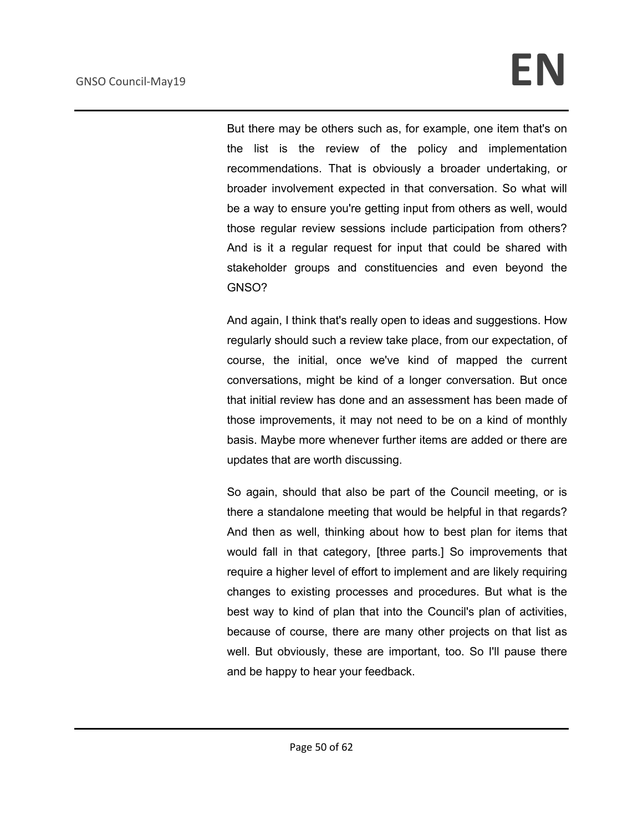But there may be others such as, for example, one item that's on the list is the review of the policy and implementation recommendations. That is obviously a broader undertaking, or broader involvement expected in that conversation. So what will be a way to ensure you're getting input from others as well, would those regular review sessions include participation from others? And is it a regular request for input that could be shared with stakeholder groups and constituencies and even beyond the GNSO?

And again, I think that's really open to ideas and suggestions. How regularly should such a review take place, from our expectation, of course, the initial, once we've kind of mapped the current conversations, might be kind of a longer conversation. But once that initial review has done and an assessment has been made of those improvements, it may not need to be on a kind of monthly basis. Maybe more whenever further items are added or there are updates that are worth discussing.

So again, should that also be part of the Council meeting, or is there a standalone meeting that would be helpful in that regards? And then as well, thinking about how to best plan for items that would fall in that category, [three parts.] So improvements that require a higher level of effort to implement and are likely requiring changes to existing processes and procedures. But what is the best way to kind of plan that into the Council's plan of activities, because of course, there are many other projects on that list as well. But obviously, these are important, too. So I'll pause there and be happy to hear your feedback.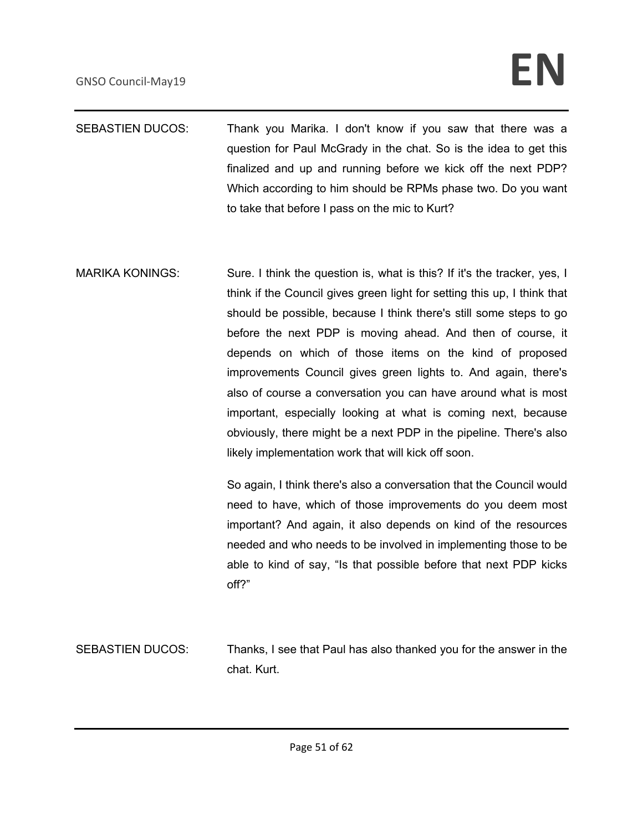# GNSO Council-May19 **EN**

- SEBASTIEN DUCOS: Thank you Marika. I don't know if you saw that there was a question for Paul McGrady in the chat. So is the idea to get this finalized and up and running before we kick off the next PDP? Which according to him should be RPMs phase two. Do you want to take that before I pass on the mic to Kurt?
- MARIKA KONINGS: Sure. I think the question is, what is this? If it's the tracker, yes, I think if the Council gives green light for setting this up, I think that should be possible, because I think there's still some steps to go before the next PDP is moving ahead. And then of course, it depends on which of those items on the kind of proposed improvements Council gives green lights to. And again, there's also of course a conversation you can have around what is most important, especially looking at what is coming next, because obviously, there might be a next PDP in the pipeline. There's also likely implementation work that will kick off soon.

So again, I think there's also a conversation that the Council would need to have, which of those improvements do you deem most important? And again, it also depends on kind of the resources needed and who needs to be involved in implementing those to be able to kind of say, "Is that possible before that next PDP kicks off?"

SEBASTIEN DUCOS: Thanks, I see that Paul has also thanked you for the answer in the chat. Kurt.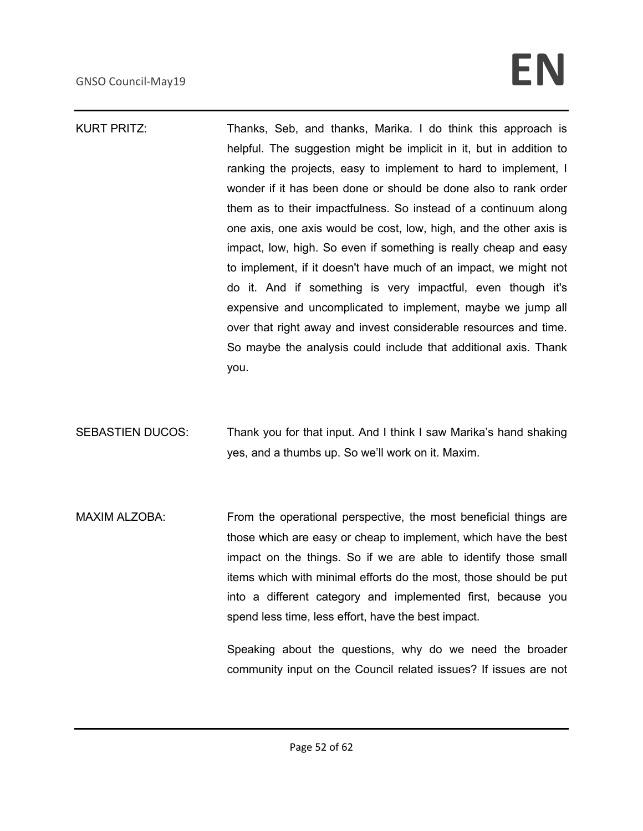# GNSO Council-May19 **EN**

KURT PRITZ: Thanks, Seb, and thanks, Marika. I do think this approach is helpful. The suggestion might be implicit in it, but in addition to ranking the projects, easy to implement to hard to implement, I wonder if it has been done or should be done also to rank order them as to their impactfulness. So instead of a continuum along one axis, one axis would be cost, low, high, and the other axis is impact, low, high. So even if something is really cheap and easy to implement, if it doesn't have much of an impact, we might not do it. And if something is very impactful, even though it's expensive and uncomplicated to implement, maybe we jump all over that right away and invest considerable resources and time. So maybe the analysis could include that additional axis. Thank you.

SEBASTIEN DUCOS: Thank you for that input. And I think I saw Marika's hand shaking yes, and a thumbs up. So we'll work on it. Maxim.

MAXIM ALZOBA: From the operational perspective, the most beneficial things are those which are easy or cheap to implement, which have the best impact on the things. So if we are able to identify those small items which with minimal efforts do the most, those should be put into a different category and implemented first, because you spend less time, less effort, have the best impact.

> Speaking about the questions, why do we need the broader community input on the Council related issues? If issues are not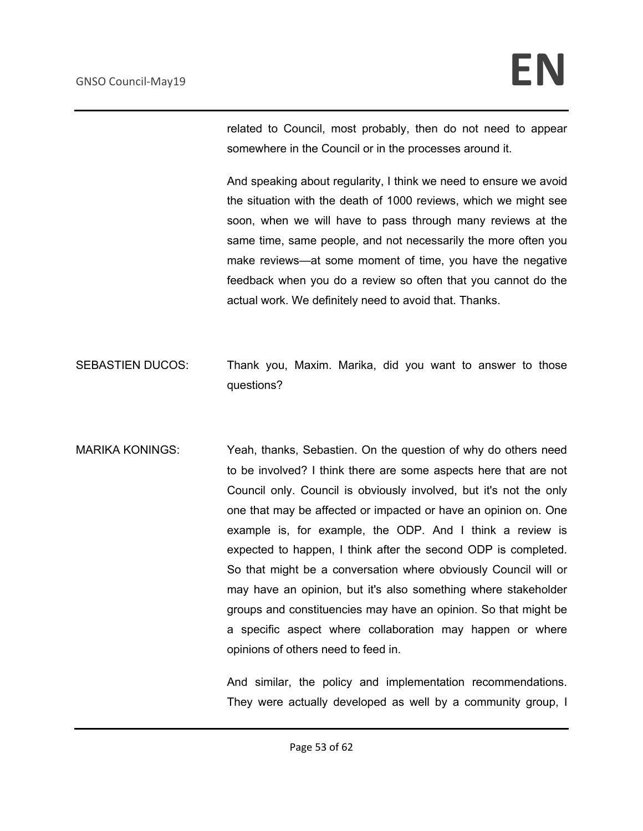related to Council, most probably, then do not need to appear somewhere in the Council or in the processes around it.

And speaking about regularity, I think we need to ensure we avoid the situation with the death of 1000 reviews, which we might see soon, when we will have to pass through many reviews at the same time, same people, and not necessarily the more often you make reviews—at some moment of time, you have the negative feedback when you do a review so often that you cannot do the actual work. We definitely need to avoid that. Thanks.

- SEBASTIEN DUCOS: Thank you, Maxim. Marika, did you want to answer to those questions?
- MARIKA KONINGS: Yeah, thanks, Sebastien. On the question of why do others need to be involved? I think there are some aspects here that are not Council only. Council is obviously involved, but it's not the only one that may be affected or impacted or have an opinion on. One example is, for example, the ODP. And I think a review is expected to happen, I think after the second ODP is completed. So that might be a conversation where obviously Council will or may have an opinion, but it's also something where stakeholder groups and constituencies may have an opinion. So that might be a specific aspect where collaboration may happen or where opinions of others need to feed in.

And similar, the policy and implementation recommendations. They were actually developed as well by a community group, I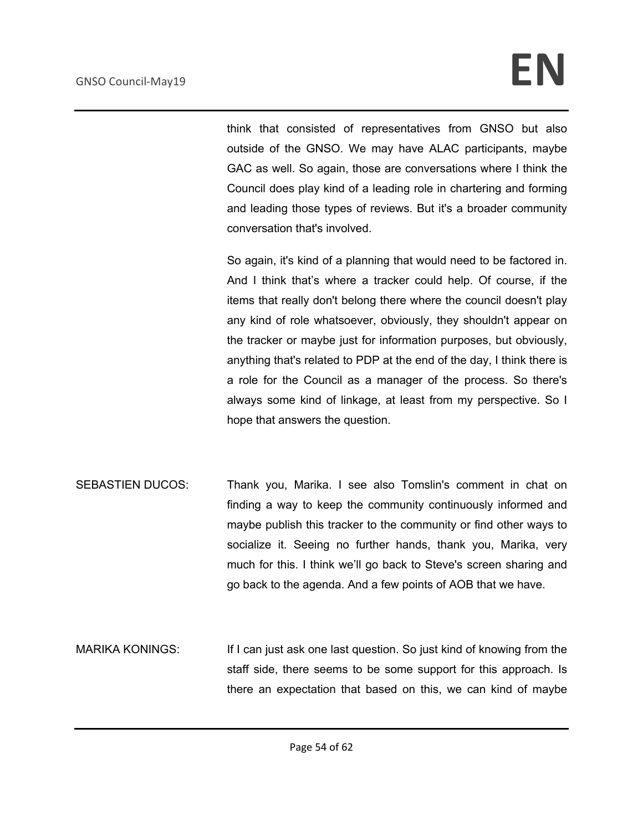think that consisted of representatives from GNSO but also outside of the GNSO. We may have ALAC participants, maybe GAC as well. So again, those are conversations where I think the Council does play kind of a leading role in chartering and forming and leading those types of reviews. But it's a broader community conversation that's involved.

So again, it's kind of a planning that would need to be factored in. And I think that's where a tracker could help. Of course, if the items that really don't belong there where the council doesn't play any kind of role whatsoever, obviously, they shouldn't appear on the tracker or maybe just for information purposes, but obviously, anything that's related to PDP at the end of the day, I think there is a role for the Council as a manager of the process. So there's always some kind of linkage, at least from my perspective. So I hope that answers the question.

- SEBASTIEN DUCOS: Thank you, Marika. I see also Tomslin's comment in chat on finding a way to keep the community continuously informed and maybe publish this tracker to the community or find other ways to socialize it. Seeing no further hands, thank you, Marika, very much for this. I think we'll go back to Steve's screen sharing and go back to the agenda. And a few points of AOB that we have.
- MARIKA KONINGS: If I can just ask one last question. So just kind of knowing from the staff side, there seems to be some support for this approach. Is there an expectation that based on this, we can kind of maybe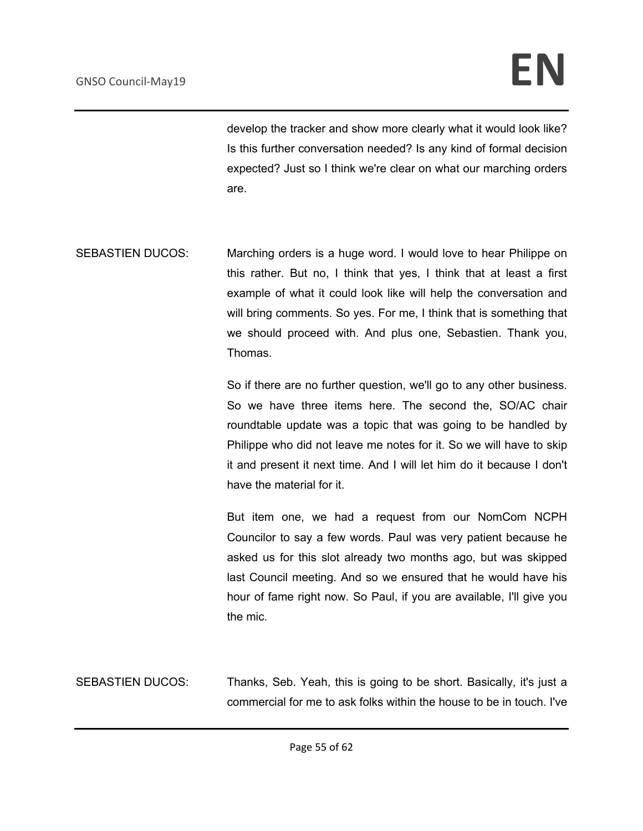develop the tracker and show more clearly what it would look like? Is this further conversation needed? Is any kind of formal decision expected? Just so I think we're clear on what our marching orders are.

SEBASTIEN DUCOS: Marching orders is a huge word. I would love to hear Philippe on this rather. But no, I think that yes, I think that at least a first example of what it could look like will help the conversation and will bring comments. So yes. For me, I think that is something that we should proceed with. And plus one, Sebastien. Thank you, Thomas.

> So if there are no further question, we'll go to any other business. So we have three items here. The second the, SO/AC chair roundtable update was a topic that was going to be handled by Philippe who did not leave me notes for it. So we will have to skip it and present it next time. And I will let him do it because I don't have the material for it.

> But item one, we had a request from our NomCom NCPH Councilor to say a few words. Paul was very patient because he asked us for this slot already two months ago, but was skipped last Council meeting. And so we ensured that he would have his hour of fame right now. So Paul, if you are available, I'll give you the mic.

SEBASTIEN DUCOS: Thanks, Seb. Yeah, this is going to be short. Basically, it's just a commercial for me to ask folks within the house to be in touch. I've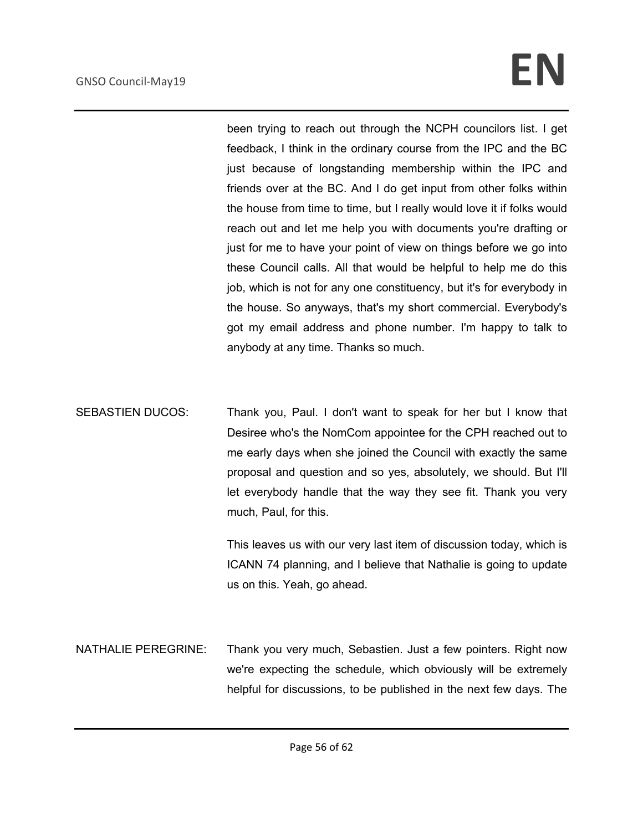# GNSO Council-May19 **EN**

been trying to reach out through the NCPH councilors list. I get feedback, I think in the ordinary course from the IPC and the BC just because of longstanding membership within the IPC and friends over at the BC. And I do get input from other folks within the house from time to time, but I really would love it if folks would reach out and let me help you with documents you're drafting or just for me to have your point of view on things before we go into these Council calls. All that would be helpful to help me do this job, which is not for any one constituency, but it's for everybody in the house. So anyways, that's my short commercial. Everybody's got my email address and phone number. I'm happy to talk to anybody at any time. Thanks so much.

SEBASTIEN DUCOS: Thank you, Paul. I don't want to speak for her but I know that Desiree who's the NomCom appointee for the CPH reached out to me early days when she joined the Council with exactly the same proposal and question and so yes, absolutely, we should. But I'll let everybody handle that the way they see fit. Thank you very much, Paul, for this.

> This leaves us with our very last item of discussion today, which is ICANN 74 planning, and I believe that Nathalie is going to update us on this. Yeah, go ahead.

NATHALIE PEREGRINE: Thank you very much, Sebastien. Just a few pointers. Right now we're expecting the schedule, which obviously will be extremely helpful for discussions, to be published in the next few days. The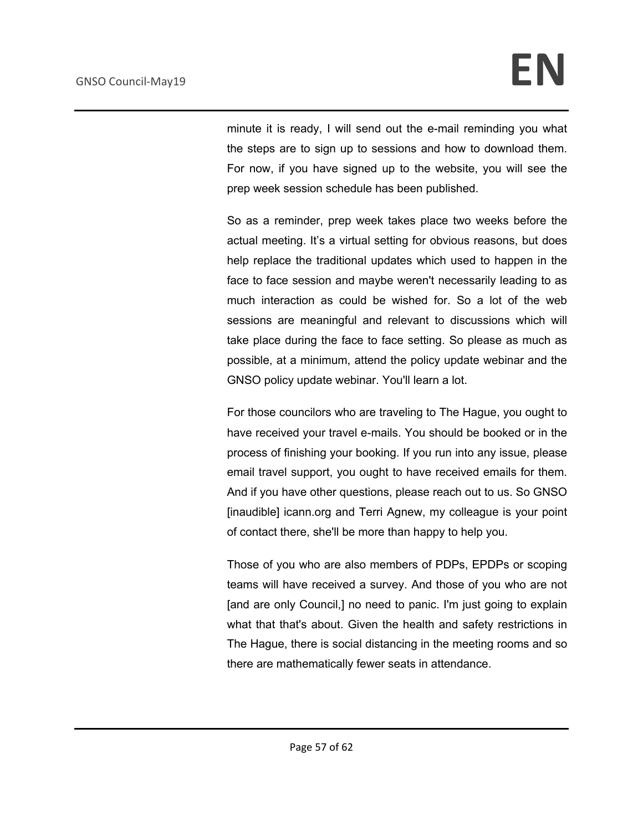minute it is ready, I will send out the e-mail reminding you what the steps are to sign up to sessions and how to download them. For now, if you have signed up to the website, you will see the prep week session schedule has been published.

So as a reminder, prep week takes place two weeks before the actual meeting. It's a virtual setting for obvious reasons, but does help replace the traditional updates which used to happen in the face to face session and maybe weren't necessarily leading to as much interaction as could be wished for. So a lot of the web sessions are meaningful and relevant to discussions which will take place during the face to face setting. So please as much as possible, at a minimum, attend the policy update webinar and the GNSO policy update webinar. You'll learn a lot.

For those councilors who are traveling to The Hague, you ought to have received your travel e-mails. You should be booked or in the process of finishing your booking. If you run into any issue, please email travel support, you ought to have received emails for them. And if you have other questions, please reach out to us. So GNSO [inaudible] icann.org and Terri Agnew, my colleague is your point of contact there, she'll be more than happy to help you.

Those of you who are also members of PDPs, EPDPs or scoping teams will have received a survey. And those of you who are not [and are only Council,] no need to panic. I'm just going to explain what that that's about. Given the health and safety restrictions in The Hague, there is social distancing in the meeting rooms and so there are mathematically fewer seats in attendance.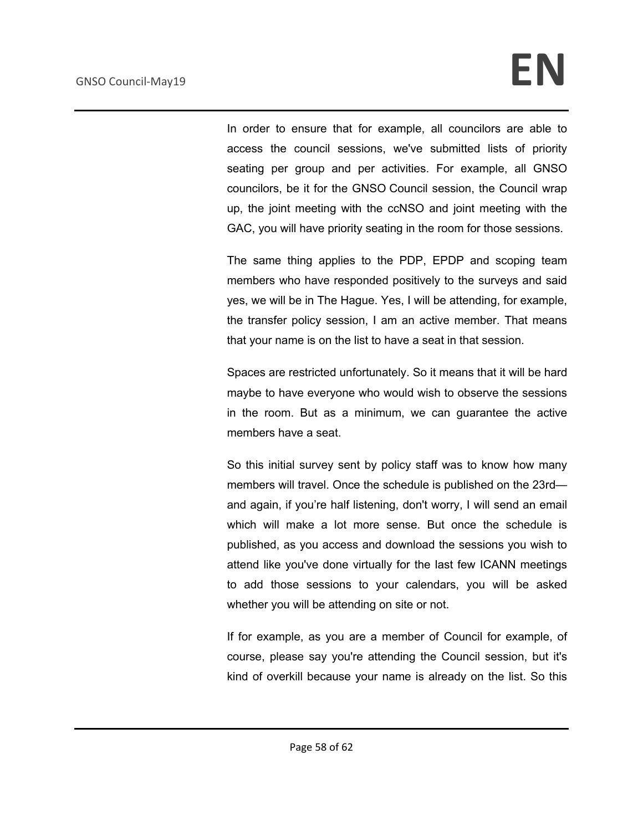In order to ensure that for example, all councilors are able to access the council sessions, we've submitted lists of priority seating per group and per activities. For example, all GNSO councilors, be it for the GNSO Council session, the Council wrap up, the joint meeting with the ccNSO and joint meeting with the GAC, you will have priority seating in the room for those sessions.

The same thing applies to the PDP, EPDP and scoping team members who have responded positively to the surveys and said yes, we will be in The Hague. Yes, I will be attending, for example, the transfer policy session, I am an active member. That means that your name is on the list to have a seat in that session.

Spaces are restricted unfortunately. So it means that it will be hard maybe to have everyone who would wish to observe the sessions in the room. But as a minimum, we can guarantee the active members have a seat.

So this initial survey sent by policy staff was to know how many members will travel. Once the schedule is published on the 23rd and again, if you're half listening, don't worry, I will send an email which will make a lot more sense. But once the schedule is published, as you access and download the sessions you wish to attend like you've done virtually for the last few ICANN meetings to add those sessions to your calendars, you will be asked whether you will be attending on site or not.

If for example, as you are a member of Council for example, of course, please say you're attending the Council session, but it's kind of overkill because your name is already on the list. So this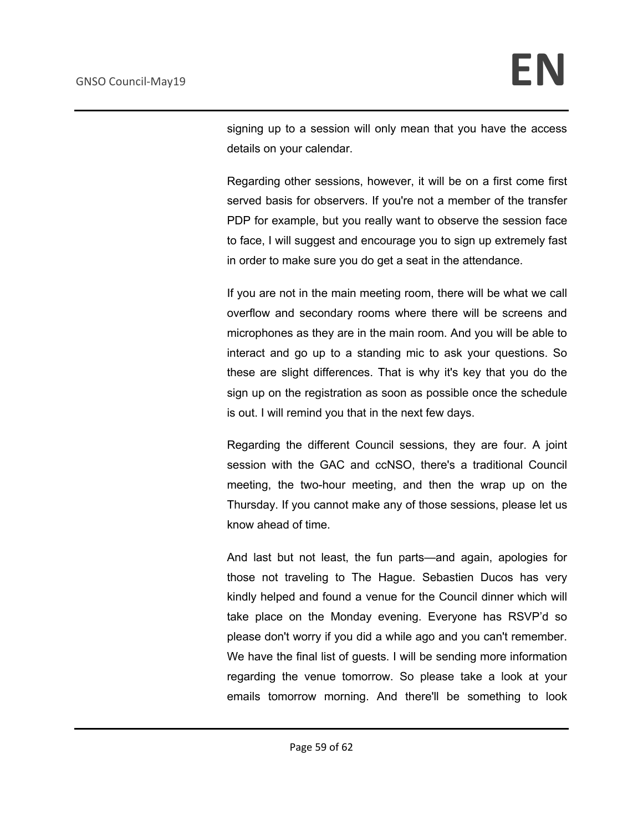signing up to a session will only mean that you have the access details on your calendar.

Regarding other sessions, however, it will be on a first come first served basis for observers. If you're not a member of the transfer PDP for example, but you really want to observe the session face to face, I will suggest and encourage you to sign up extremely fast in order to make sure you do get a seat in the attendance.

If you are not in the main meeting room, there will be what we call overflow and secondary rooms where there will be screens and microphones as they are in the main room. And you will be able to interact and go up to a standing mic to ask your questions. So these are slight differences. That is why it's key that you do the sign up on the registration as soon as possible once the schedule is out. I will remind you that in the next few days.

Regarding the different Council sessions, they are four. A joint session with the GAC and ccNSO, there's a traditional Council meeting, the two-hour meeting, and then the wrap up on the Thursday. If you cannot make any of those sessions, please let us know ahead of time.

And last but not least, the fun parts—and again, apologies for those not traveling to The Hague. Sebastien Ducos has very kindly helped and found a venue for the Council dinner which will take place on the Monday evening. Everyone has RSVP'd so please don't worry if you did a while ago and you can't remember. We have the final list of guests. I will be sending more information regarding the venue tomorrow. So please take a look at your emails tomorrow morning. And there'll be something to look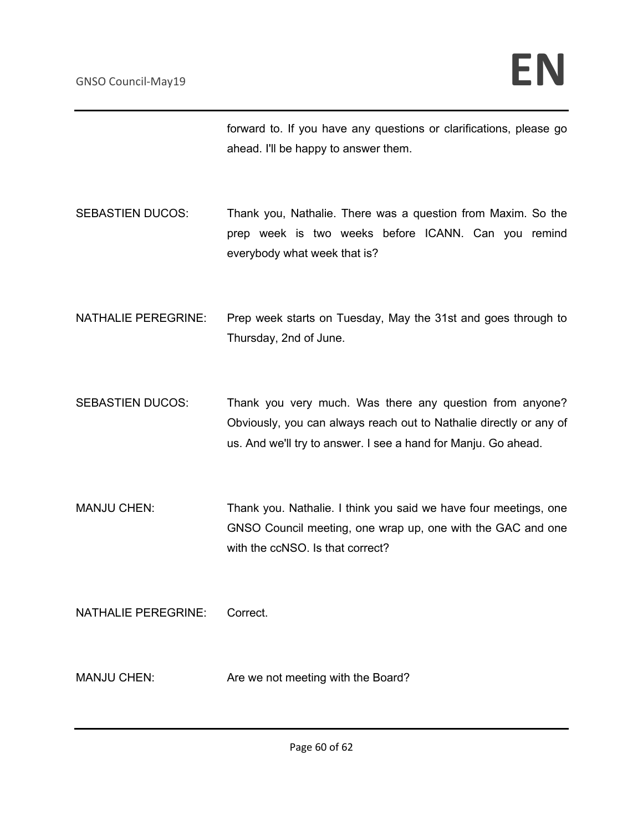forward to. If you have any questions or clarifications, please go ahead. I'll be happy to answer them.

- SEBASTIEN DUCOS: Thank you, Nathalie. There was a question from Maxim. So the prep week is two weeks before ICANN. Can you remind everybody what week that is?
- NATHALIE PEREGRINE: Prep week starts on Tuesday, May the 31st and goes through to Thursday, 2nd of June.
- SEBASTIEN DUCOS: Thank you very much. Was there any question from anyone? Obviously, you can always reach out to Nathalie directly or any of us. And we'll try to answer. I see a hand for Manju. Go ahead.
- MANJU CHEN: Thank you. Nathalie. I think you said we have four meetings, one GNSO Council meeting, one wrap up, one with the GAC and one with the ccNSO. Is that correct?

NATHALIE PEREGRINE: Correct.

MANJU CHEN: Are we not meeting with the Board?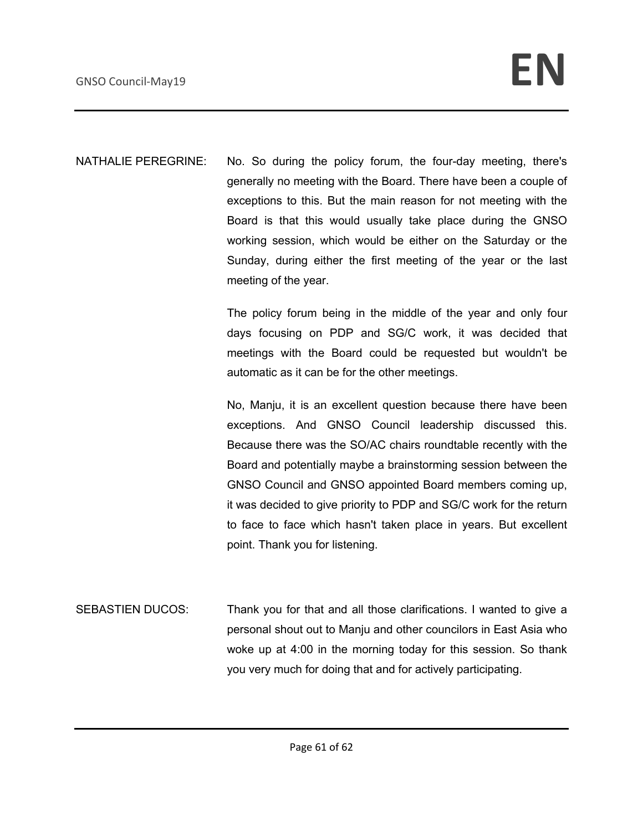NATHALIE PEREGRINE: No. So during the policy forum, the four-day meeting, there's generally no meeting with the Board. There have been a couple of exceptions to this. But the main reason for not meeting with the Board is that this would usually take place during the GNSO working session, which would be either on the Saturday or the Sunday, during either the first meeting of the year or the last meeting of the year.

> The policy forum being in the middle of the year and only four days focusing on PDP and SG/C work, it was decided that meetings with the Board could be requested but wouldn't be automatic as it can be for the other meetings.

> No, Manju, it is an excellent question because there have been exceptions. And GNSO Council leadership discussed this. Because there was the SO/AC chairs roundtable recently with the Board and potentially maybe a brainstorming session between the GNSO Council and GNSO appointed Board members coming up, it was decided to give priority to PDP and SG/C work for the return to face to face which hasn't taken place in years. But excellent point. Thank you for listening.

SEBASTIEN DUCOS: Thank you for that and all those clarifications. I wanted to give a personal shout out to Manju and other councilors in East Asia who woke up at 4:00 in the morning today for this session. So thank you very much for doing that and for actively participating.